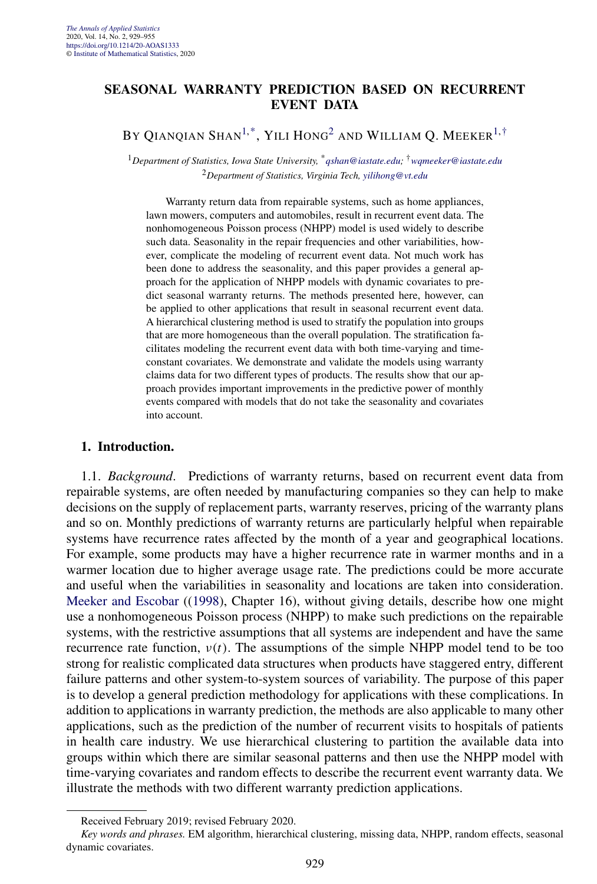# **SEASONAL WARRANTY PREDICTION BASED ON RECURRENT EVENT DATA**

BY QIANQIAN SHAN<sup>1,\*</sup>, YILI HONG<sup>2</sup> AND WILLIAM Q. MEEKER<sup>1,†</sup>

<sup>1</sup>*Department of Statistics, Iowa State University,* \**[qshan@iastate.edu](mailto:qshan@iastate.edu);* †*[wqmeeker@iastate.edu](mailto:wqmeeker@iastate.edu)* <sup>2</sup>*Department of Statistics, Virginia Tech, [yilihong@vt.edu](mailto:yilihong@vt.edu)*

Warranty return data from repairable systems, such as home appliances, lawn mowers, computers and automobiles, result in recurrent event data. The nonhomogeneous Poisson process (NHPP) model is used widely to describe such data. Seasonality in the repair frequencies and other variabilities, however, complicate the modeling of recurrent event data. Not much work has been done to address the seasonality, and this paper provides a general approach for the application of NHPP models with dynamic covariates to predict seasonal warranty returns. The methods presented here, however, can be applied to other applications that result in seasonal recurrent event data. A hierarchical clustering method is used to stratify the population into groups that are more homogeneous than the overall population. The stratification facilitates modeling the recurrent event data with both time-varying and timeconstant covariates. We demonstrate and validate the models using warranty claims data for two different types of products. The results show that our approach provides important improvements in the predictive power of monthly events compared with models that do not take the seasonality and covariates into account.

# **1. Introduction.**

1.1. *Background*. Predictions of warranty returns, based on recurrent event data from repairable systems, are often needed by manufacturing companies so they can help to make decisions on the supply of replacement parts, warranty reserves, pricing of the warranty plans and so on. Monthly predictions of warranty returns are particularly helpful when repairable systems have recurrence rates affected by the month of a year and geographical locations. For example, some products may have a higher recurrence rate in warmer months and in a warmer location due to higher average usage rate. The predictions could be more accurate and useful when the variabilities in seasonality and locations are taken into consideration. [Meeker and Escobar](#page-25-0) ([\(1998\)](#page-25-0), Chapter 16), without giving details, describe how one might use a nonhomogeneous Poisson process (NHPP) to make such predictions on the repairable systems, with the restrictive assumptions that all systems are independent and have the same recurrence rate function,  $v(t)$ . The assumptions of the simple NHPP model tend to be too strong for realistic complicated data structures when products have staggered entry, different failure patterns and other system-to-system sources of variability. The purpose of this paper is to develop a general prediction methodology for applications with these complications. In addition to applications in warranty prediction, the methods are also applicable to many other applications, such as the prediction of the number of recurrent visits to hospitals of patients in health care industry. We use hierarchical clustering to partition the available data into groups within which there are similar seasonal patterns and then use the NHPP model with time-varying covariates and random effects to describe the recurrent event warranty data. We illustrate the methods with two different warranty prediction applications.

Received February 2019; revised February 2020.

*Key words and phrases.* EM algorithm, hierarchical clustering, missing data, NHPP, random effects, seasonal dynamic covariates.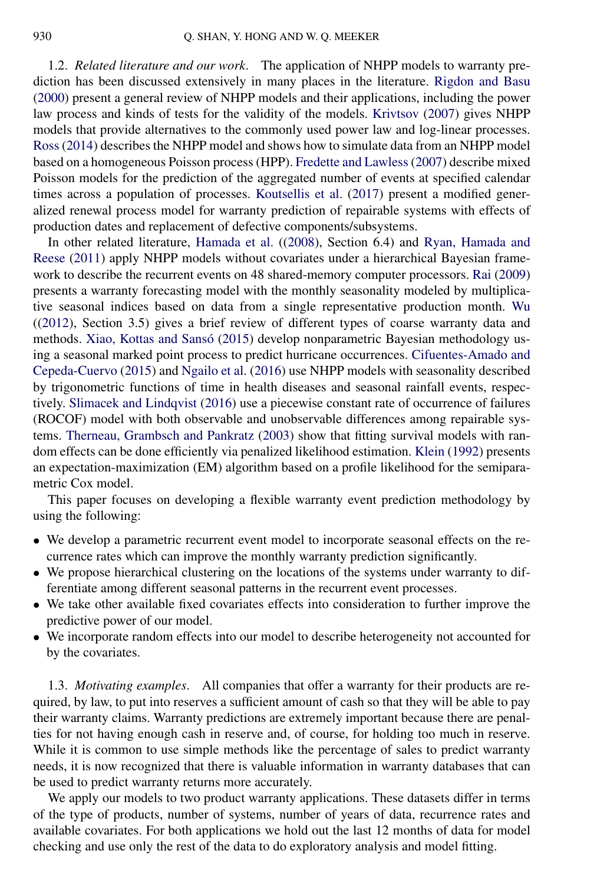<span id="page-1-0"></span>1.2. *Related literature and our work*. The application of NHPP models to warranty prediction has been discussed extensively in many places in the literature. [Rigdon and Basu](#page-25-0) [\(2000\)](#page-25-0) present a general review of NHPP models and their applications, including the power law process and kinds of tests for the validity of the models. [Krivtsov](#page-25-0) [\(2007\)](#page-25-0) gives NHPP models that provide alternatives to the commonly used power law and log-linear processes. [Ross](#page-26-0) [\(2014\)](#page-26-0) describes the NHPP model and shows how to simulate data from an NHPP model based on a homogeneous Poisson process (HPP). [Fredette and Lawless](#page-25-0) [\(2007\)](#page-25-0) describe mixed Poisson models for the prediction of the aggregated number of events at specified calendar times across a population of processes. [Koutsellis et al.](#page-25-0) [\(2017\)](#page-25-0) present a modified generalized renewal process model for warranty prediction of repairable systems with effects of production dates and replacement of defective components/subsystems.

In other related literature, [Hamada et al.](#page-25-0) ([\(2008\)](#page-25-0), Section 6.4) and [Ryan, Hamada and](#page-26-0) [Reese](#page-26-0) [\(2011\)](#page-26-0) apply NHPP models without covariates under a hierarchical Bayesian framework to describe the recurrent events on 48 shared-memory computer processors. [Rai](#page-25-0) [\(2009\)](#page-25-0) presents a warranty forecasting model with the monthly seasonality modeled by multiplicative seasonal indices based on data from a single representative production month. [Wu](#page-26-0) ([\(2012\)](#page-26-0), Section 3.5) gives a brief review of different types of coarse warranty data and methods. [Xiao, Kottas and Sansó](#page-26-0) [\(2015\)](#page-26-0) develop nonparametric Bayesian methodology using a seasonal marked point process to predict hurricane occurrences. [Cifuentes-Amado and](#page-25-0) [Cepeda-Cuervo](#page-25-0) [\(2015\)](#page-25-0) and [Ngailo et al.](#page-25-0) [\(2016\)](#page-25-0) use NHPP models with seasonality described by trigonometric functions of time in health diseases and seasonal rainfall events, respectively. [Slimacek and Lindqvist](#page-26-0) [\(2016\)](#page-26-0) use a piecewise constant rate of occurrence of failures (ROCOF) model with both observable and unobservable differences among repairable systems. [Therneau, Grambsch and Pankratz](#page-26-0) [\(2003\)](#page-26-0) show that fitting survival models with random effects can be done efficiently via penalized likelihood estimation. [Klein](#page-25-0) [\(1992\)](#page-25-0) presents an expectation-maximization (EM) algorithm based on a profile likelihood for the semiparametric Cox model.

This paper focuses on developing a flexible warranty event prediction methodology by using the following:

- We develop a parametric recurrent event model to incorporate seasonal effects on the recurrence rates which can improve the monthly warranty prediction significantly.
- We propose hierarchical clustering on the locations of the systems under warranty to differentiate among different seasonal patterns in the recurrent event processes.
- We take other available fixed covariates effects into consideration to further improve the predictive power of our model.
- We incorporate random effects into our model to describe heterogeneity not accounted for by the covariates.

1.3. *Motivating examples*. All companies that offer a warranty for their products are required, by law, to put into reserves a sufficient amount of cash so that they will be able to pay their warranty claims. Warranty predictions are extremely important because there are penalties for not having enough cash in reserve and, of course, for holding too much in reserve. While it is common to use simple methods like the percentage of sales to predict warranty needs, it is now recognized that there is valuable information in warranty databases that can be used to predict warranty returns more accurately.

We apply our models to two product warranty applications. These datasets differ in terms of the type of products, number of systems, number of years of data, recurrence rates and available covariates. For both applications we hold out the last 12 months of data for model checking and use only the rest of the data to do exploratory analysis and model fitting.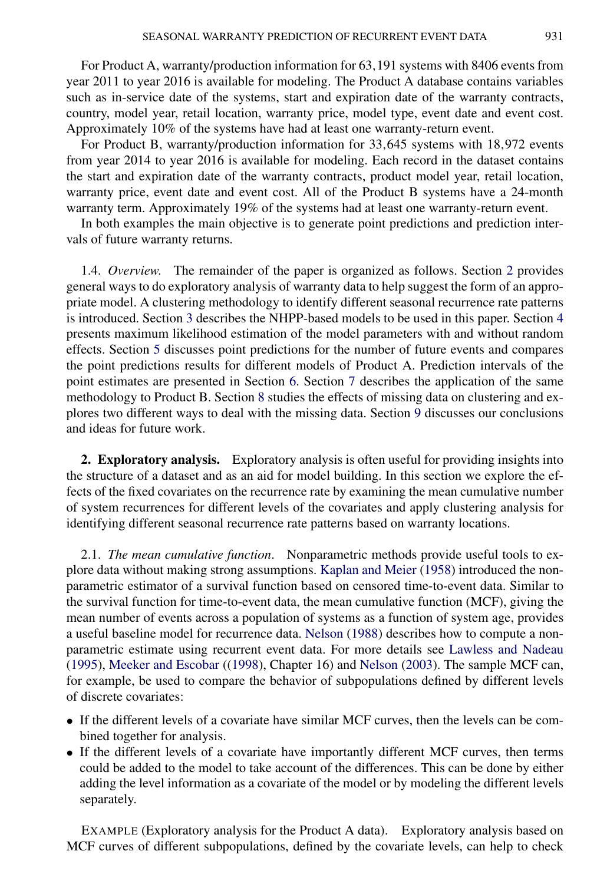<span id="page-2-0"></span>For Product A, warranty/production information for 63*,*191 systems with 8406 events from year 2011 to year 2016 is available for modeling. The Product A database contains variables such as in-service date of the systems, start and expiration date of the warranty contracts, country, model year, retail location, warranty price, model type, event date and event cost. Approximately 10% of the systems have had at least one warranty-return event.

For Product B, warranty/production information for 33*,*645 systems with 18*,*972 events from year 2014 to year 2016 is available for modeling. Each record in the dataset contains the start and expiration date of the warranty contracts, product model year, retail location, warranty price, event date and event cost. All of the Product B systems have a 24-month warranty term. Approximately 19% of the systems had at least one warranty-return event.

In both examples the main objective is to generate point predictions and prediction intervals of future warranty returns.

1.4. *Overview*. The remainder of the paper is organized as follows. Section 2 provides general ways to do exploratory analysis of warranty data to help suggest the form of an appropriate model. A clustering methodology to identify different seasonal recurrence rate patterns is introduced. Section [3](#page-7-0) describes the NHPP-based models to be used in this paper. Section [4](#page-9-0) presents maximum likelihood estimation of the model parameters with and without random effects. Section [5](#page-12-0) discusses point predictions for the number of future events and compares the point predictions results for different models of Product A. Prediction intervals of the point estimates are presented in Section [6.](#page-14-0) Section [7](#page-17-0) describes the application of the same methodology to Product B. Section [8](#page-19-0) studies the effects of missing data on clustering and explores two different ways to deal with the missing data. Section [9](#page-23-0) discusses our conclusions and ideas for future work.

**2. Exploratory analysis.** Exploratory analysis is often useful for providing insights into the structure of a dataset and as an aid for model building. In this section we explore the effects of the fixed covariates on the recurrence rate by examining the mean cumulative number of system recurrences for different levels of the covariates and apply clustering analysis for identifying different seasonal recurrence rate patterns based on warranty locations.

2.1. *The mean cumulative function*. Nonparametric methods provide useful tools to explore data without making strong assumptions. [Kaplan and Meier](#page-25-0) [\(1958\)](#page-25-0) introduced the nonparametric estimator of a survival function based on censored time-to-event data. Similar to the survival function for time-to-event data, the mean cumulative function (MCF), giving the mean number of events across a population of systems as a function of system age, provides a useful baseline model for recurrence data. [Nelson](#page-25-0) [\(1988\)](#page-25-0) describes how to compute a nonparametric estimate using recurrent event data. For more details see [Lawless and Nadeau](#page-25-0) [\(1995\)](#page-25-0), [Meeker and Escobar](#page-25-0) ([\(1998\)](#page-25-0), Chapter 16) and [Nelson](#page-25-0) [\(2003\)](#page-25-0). The sample MCF can, for example, be used to compare the behavior of subpopulations defined by different levels of discrete covariates:

- If the different levels of a covariate have similar MCF curves, then the levels can be combined together for analysis.
- If the different levels of a covariate have importantly different MCF curves, then terms could be added to the model to take account of the differences. This can be done by either adding the level information as a covariate of the model or by modeling the different levels separately.

EXAMPLE (Exploratory analysis for the Product A data). Exploratory analysis based on MCF curves of different subpopulations, defined by the covariate levels, can help to check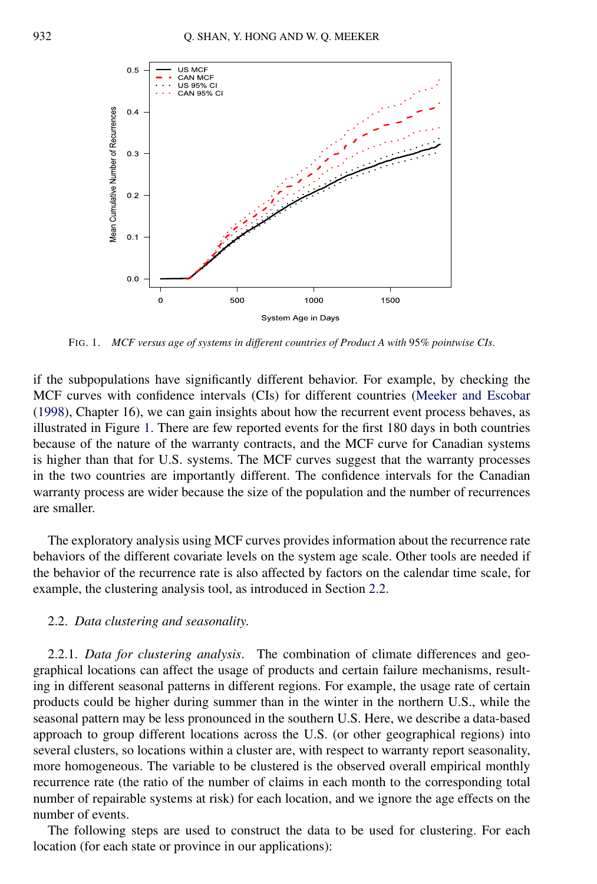<span id="page-3-0"></span>

FIG. 1. *MCF versus age of systems in different countries of Product A with* 95*% pointwise CIs*.

if the subpopulations have significantly different behavior. For example, by checking the MCF curves with confidence intervals (CIs) for different countries [\(Meeker and Escobar](#page-25-0) [\(1998\)](#page-25-0), Chapter 16), we can gain insights about how the recurrent event process behaves, as illustrated in Figure 1. There are few reported events for the first 180 days in both countries because of the nature of the warranty contracts, and the MCF curve for Canadian systems is higher than that for U.S. systems. The MCF curves suggest that the warranty processes in the two countries are importantly different. The confidence intervals for the Canadian warranty process are wider because the size of the population and the number of recurrences are smaller.

The exploratory analysis using MCF curves provides information about the recurrence rate behaviors of the different covariate levels on the system age scale. Other tools are needed if the behavior of the recurrence rate is also affected by factors on the calendar time scale, for example, the clustering analysis tool, as introduced in Section 2.2.

#### 2.2. *Data clustering and seasonality*.

2.2.1. *Data for clustering analysis*. The combination of climate differences and geographical locations can affect the usage of products and certain failure mechanisms, resulting in different seasonal patterns in different regions. For example, the usage rate of certain products could be higher during summer than in the winter in the northern U.S., while the seasonal pattern may be less pronounced in the southern U.S. Here, we describe a data-based approach to group different locations across the U.S. (or other geographical regions) into several clusters, so locations within a cluster are, with respect to warranty report seasonality, more homogeneous. The variable to be clustered is the observed overall empirical monthly recurrence rate (the ratio of the number of claims in each month to the corresponding total number of repairable systems at risk) for each location, and we ignore the age effects on the number of events.

The following steps are used to construct the data to be used for clustering. For each location (for each state or province in our applications):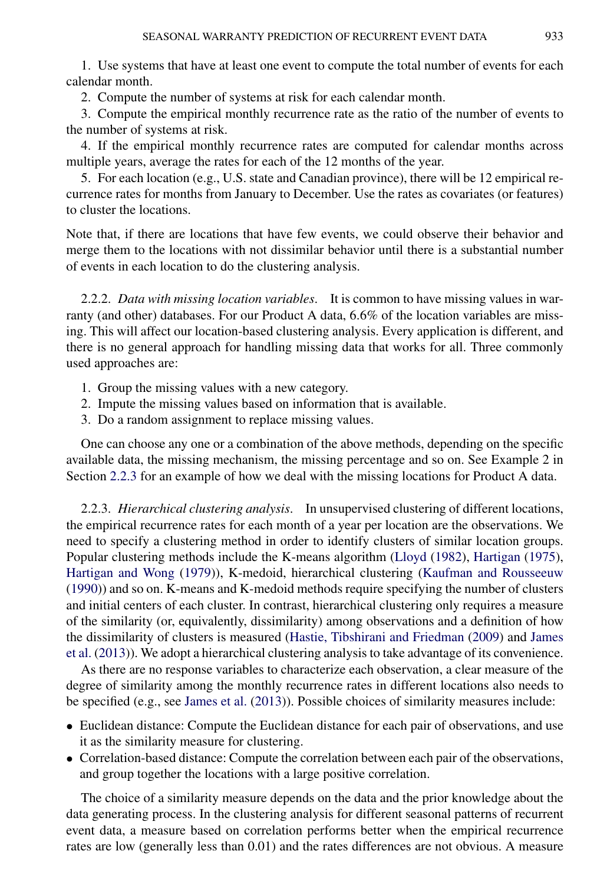1. Use systems that have at least one event to compute the total number of events for each calendar month.

2. Compute the number of systems at risk for each calendar month.

3. Compute the empirical monthly recurrence rate as the ratio of the number of events to the number of systems at risk.

4. If the empirical monthly recurrence rates are computed for calendar months across multiple years, average the rates for each of the 12 months of the year.

5. For each location (e.g., U.S. state and Canadian province), there will be 12 empirical recurrence rates for months from January to December. Use the rates as covariates (or features) to cluster the locations.

Note that, if there are locations that have few events, we could observe their behavior and merge them to the locations with not dissimilar behavior until there is a substantial number of events in each location to do the clustering analysis.

2.2.2. *Data with missing location variables*. It is common to have missing values in warranty (and other) databases. For our Product A data, 6*.*6% of the location variables are missing. This will affect our location-based clustering analysis. Every application is different, and there is no general approach for handling missing data that works for all. Three commonly used approaches are:

- 1. Group the missing values with a new category.
- 2. Impute the missing values based on information that is available.
- 3. Do a random assignment to replace missing values.

One can choose any one or a combination of the above methods, depending on the specific available data, the missing mechanism, the missing percentage and so on. See Example 2 in Section 2.2.3 for an example of how we deal with the missing locations for Product A data.

2.2.3. *Hierarchical clustering analysis*. In unsupervised clustering of different locations, the empirical recurrence rates for each month of a year per location are the observations. We need to specify a clustering method in order to identify clusters of similar location groups. Popular clustering methods include the K-means algorithm [\(Lloyd](#page-25-0) [\(1982\)](#page-25-0), [Hartigan](#page-25-0) [\(1975\)](#page-25-0), [Hartigan and Wong](#page-25-0) [\(1979\)](#page-25-0)), K-medoid, hierarchical clustering [\(Kaufman and Rousseeuw](#page-25-0) [\(1990\)](#page-25-0)) and so on. K-means and K-medoid methods require specifying the number of clusters and initial centers of each cluster. In contrast, hierarchical clustering only requires a measure of the similarity (or, equivalently, dissimilarity) among observations and a definition of how the dissimilarity of clusters is measured [\(Hastie, Tibshirani and Friedman](#page-25-0) [\(2009\)](#page-25-0) and [James](#page-25-0) [et al.](#page-25-0) [\(2013\)](#page-25-0)). We adopt a hierarchical clustering analysis to take advantage of its convenience.

As there are no response variables to characterize each observation, a clear measure of the degree of similarity among the monthly recurrence rates in different locations also needs to be specified (e.g., see [James et al.](#page-25-0) [\(2013\)](#page-25-0)). Possible choices of similarity measures include:

- Euclidean distance: Compute the Euclidean distance for each pair of observations, and use it as the similarity measure for clustering.
- Correlation-based distance: Compute the correlation between each pair of the observations, and group together the locations with a large positive correlation.

The choice of a similarity measure depends on the data and the prior knowledge about the data generating process. In the clustering analysis for different seasonal patterns of recurrent event data, a measure based on correlation performs better when the empirical recurrence rates are low (generally less than 0.01) and the rates differences are not obvious. A measure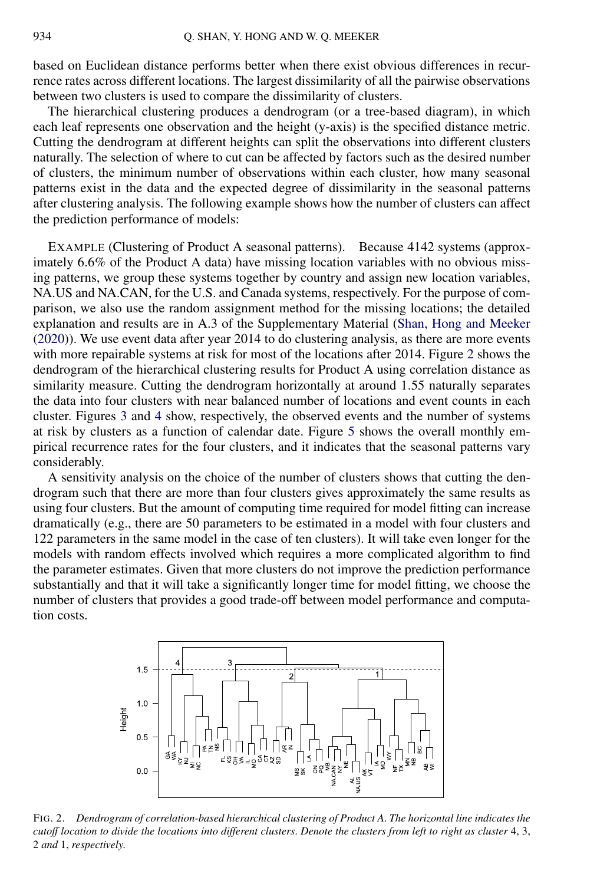based on Euclidean distance performs better when there exist obvious differences in recurrence rates across different locations. The largest dissimilarity of all the pairwise observations between two clusters is used to compare the dissimilarity of clusters.

The hierarchical clustering produces a dendrogram (or a tree-based diagram), in which each leaf represents one observation and the height (y-axis) is the specified distance metric. Cutting the dendrogram at different heights can split the observations into different clusters naturally. The selection of where to cut can be affected by factors such as the desired number of clusters, the minimum number of observations within each cluster, how many seasonal patterns exist in the data and the expected degree of dissimilarity in the seasonal patterns after clustering analysis. The following example shows how the number of clusters can affect the prediction performance of models:

EXAMPLE (Clustering of Product A seasonal patterns). Because 4142 systems (approximately 6*.*6% of the Product A data) have missing location variables with no obvious missing patterns, we group these systems together by country and assign new location variables, NA.US and NA.CAN, for the U.S. and Canada systems, respectively. For the purpose of comparison, we also use the random assignment method for the missing locations; the detailed explanation and results are in A.3 of the Supplementary Material [\(Shan, Hong and Meeker](#page-26-0) [\(2020\)](#page-26-0)). We use event data after year 2014 to do clustering analysis, as there are more events with more repairable systems at risk for most of the locations after 2014. Figure 2 shows the dendrogram of the hierarchical clustering results for Product A using correlation distance as similarity measure. Cutting the dendrogram horizontally at around 1*.*55 naturally separates the data into four clusters with near balanced number of locations and event counts in each cluster. Figures [3](#page-6-0) and [4](#page-6-0) show, respectively, the observed events and the number of systems at risk by clusters as a function of calendar date. Figure [5](#page-7-0) shows the overall monthly empirical recurrence rates for the four clusters, and it indicates that the seasonal patterns vary considerably.

A sensitivity analysis on the choice of the number of clusters shows that cutting the dendrogram such that there are more than four clusters gives approximately the same results as using four clusters. But the amount of computing time required for model fitting can increase dramatically (e.g., there are 50 parameters to be estimated in a model with four clusters and 122 parameters in the same model in the case of ten clusters). It will take even longer for the models with random effects involved which requires a more complicated algorithm to find the parameter estimates. Given that more clusters do not improve the prediction performance substantially and that it will take a significantly longer time for model fitting, we choose the number of clusters that provides a good trade-off between model performance and computation costs.



FIG. 2. *Dendrogram of correlation-based hierarchical clustering of Product A*. *The horizontal line indicates the cutoff location to divide the locations into different clusters*. *Denote the clusters from left to right as cluster* 4, 3, 2 *and* 1, *respectively*.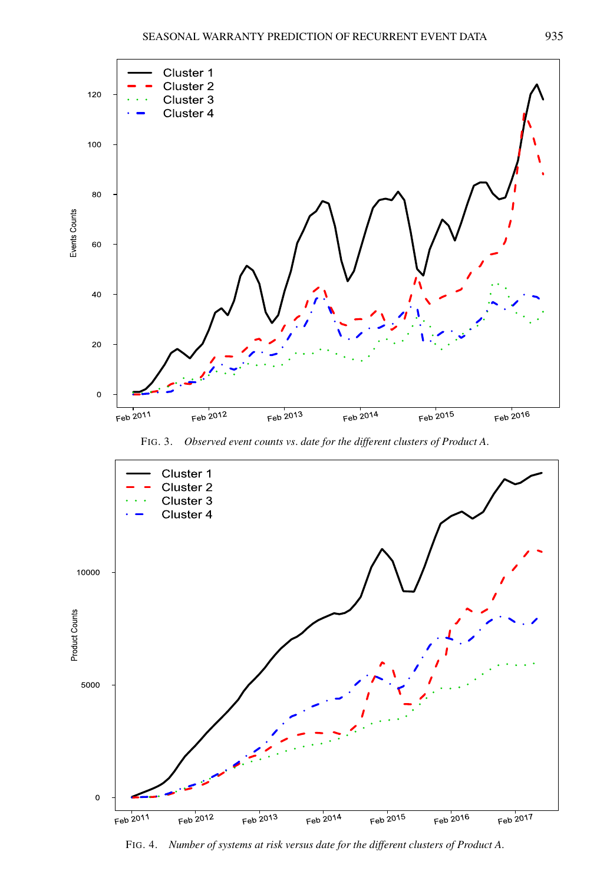<span id="page-6-0"></span>





FIG. 4. *Number of systems at risk versus date for the different clusters of Product A*.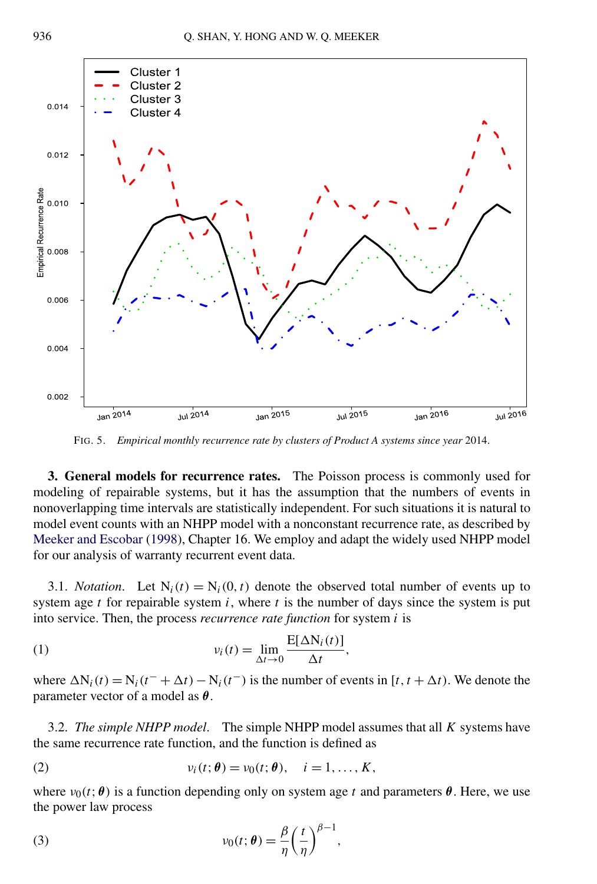<span id="page-7-0"></span>

FIG. 5. *Empirical monthly recurrence rate by clusters of Product A systems since year* 2014.

**3. General models for recurrence rates.** The Poisson process is commonly used for modeling of repairable systems, but it has the assumption that the numbers of events in nonoverlapping time intervals are statistically independent. For such situations it is natural to model event counts with an NHPP model with a nonconstant recurrence rate, as described by [Meeker and Escobar](#page-25-0) [\(1998\)](#page-25-0), Chapter 16. We employ and adapt the widely used NHPP model for our analysis of warranty recurrent event data.

3.1. *Notation*. Let  $N_i(t) = N_i(0, t)$  denote the observed total number of events up to system age  $t$  for repairable system  $i$ , where  $t$  is the number of days since the system is put into service. Then, the process *recurrence rate function* for system *i* is

(1) 
$$
v_i(t) = \lim_{\Delta t \to 0} \frac{E[\Delta N_i(t)]}{\Delta t},
$$

where  $\Delta N_i(t) = N_i(t^+ + \Delta t) - N_i(t^-)$  is the number of events in [ $t, t + \Delta t$ ). We denote the parameter vector of a model as *θ*.

3.2. *The simple NHPP model*. The simple NHPP model assumes that all *K* systems have the same recurrence rate function, and the function is defined as

(2) 
$$
v_i(t; \theta) = v_0(t; \theta), \quad i = 1, \ldots, K,
$$

where  $v_0(t; \theta)$  is a function depending only on system age t and parameters  $\theta$ . Here, we use the power law process

(3) 
$$
v_0(t; \theta) = \frac{\beta}{\eta} \left(\frac{t}{\eta}\right)^{\beta - 1},
$$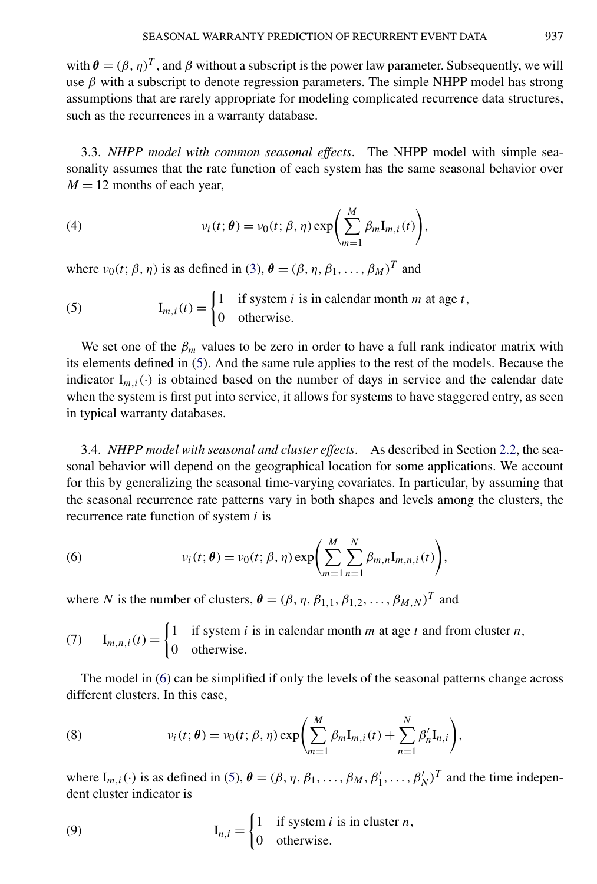<span id="page-8-0"></span>with  $\theta = (\beta, \eta)^T$ , and  $\beta$  without a subscript is the power law parameter. Subsequently, we will use  $\beta$  with a subscript to denote regression parameters. The simple NHPP model has strong assumptions that are rarely appropriate for modeling complicated recurrence data structures, such as the recurrences in a warranty database.

3.3. *NHPP model with common seasonal effects*. The NHPP model with simple seasonality assumes that the rate function of each system has the same seasonal behavior over  $M = 12$  months of each year,

(4) 
$$
v_i(t; \theta) = v_0(t; \beta, \eta) \exp\left(\sum_{m=1}^M \beta_m \mathbf{I}_{m,i}(t)\right),
$$

where  $\nu_0(t; \beta, \eta)$  is as defined in [\(3\)](#page-7-0),  $\theta = (\beta, \eta, \beta_1, \dots, \beta_M)^T$  and

(5) 
$$
I_{m,i}(t) = \begin{cases} 1 & \text{if system } i \text{ is in calendar month } m \text{ at age } t, \\ 0 & \text{otherwise.} \end{cases}
$$

We set one of the  $\beta_m$  values to be zero in order to have a full rank indicator matrix with its elements defined in (5). And the same rule applies to the rest of the models. Because the indicator  $I_{m,i}(\cdot)$  is obtained based on the number of days in service and the calendar date when the system is first put into service, it allows for systems to have staggered entry, as seen in typical warranty databases.

3.4. *NHPP model with seasonal and cluster effects*. As described in Section [2.2,](#page-3-0) the seasonal behavior will depend on the geographical location for some applications. We account for this by generalizing the seasonal time-varying covariates. In particular, by assuming that the seasonal recurrence rate patterns vary in both shapes and levels among the clusters, the recurrence rate function of system *i* is

(6) 
$$
v_i(t; \theta) = v_0(t; \beta, \eta) \exp \left( \sum_{m=1}^M \sum_{n=1}^N \beta_{m,n} I_{m,n,i}(t) \right),
$$

where *N* is the number of clusters,  $\boldsymbol{\theta} = (\beta, \eta, \beta_{1,1}, \beta_{1,2}, \dots, \beta_{M,N})^T$  and

(7) 
$$
\mathbf{I}_{m,n,i}(t) = \begin{cases} 1 & \text{if system } i \text{ is in calendar month } m \text{ at age } t \text{ and from cluster } n, \\ 0 & \text{otherwise.} \end{cases}
$$

The model in (6) can be simplified if only the levels of the seasonal patterns change across different clusters. In this case,

(8) 
$$
v_i(t; \theta) = v_0(t; \beta, \eta) \exp \left( \sum_{m=1}^M \beta_m I_{m,i}(t) + \sum_{n=1}^N \beta'_n I_{n,i} \right),
$$

where  $I_{m,i}(\cdot)$  is as defined in (5),  $\boldsymbol{\theta} = (\beta, \eta, \beta_1, \dots, \beta_M, \beta'_1, \dots, \beta'_N)^T$  and the time independent cluster indicator is

(9) 
$$
\mathbf{I}_{n,i} = \begin{cases} 1 & \text{if system } i \text{ is in cluster } n, \\ 0 & \text{otherwise.} \end{cases}
$$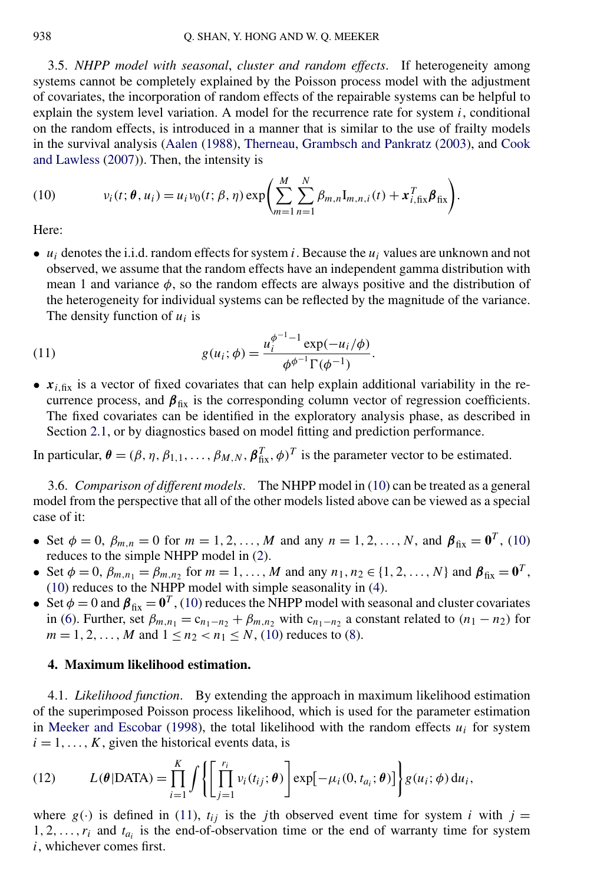<span id="page-9-0"></span>3.5. *NHPP model with seasonal*, *cluster and random effects*. If heterogeneity among systems cannot be completely explained by the Poisson process model with the adjustment of covariates, the incorporation of random effects of the repairable systems can be helpful to explain the system level variation. A model for the recurrence rate for system  $i$ , conditional on the random effects, is introduced in a manner that is similar to the use of frailty models in the survival analysis [\(Aalen](#page-24-0) [\(1988\)](#page-24-0), [Therneau, Grambsch and Pankratz](#page-26-0) [\(2003\)](#page-26-0), and [Cook](#page-25-0) [and Lawless](#page-25-0) [\(2007\)](#page-25-0)). Then, the intensity is

(10) 
$$
v_i(t; \theta, u_i) = u_i v_0(t; \beta, \eta) \exp \left( \sum_{m=1}^M \sum_{n=1}^N \beta_{m,n} I_{m,n,i}(t) + x_{i,fix}^T \beta_{fix} \right).
$$

Here:

 $\bullet$  *u<sub>i</sub>* denotes the i.i.d. random effects for system *i*. Because the *u<sub>i</sub>* values are unknown and not observed, we assume that the random effects have an independent gamma distribution with mean 1 and variance  $\phi$ , so the random effects are always positive and the distribution of the heterogeneity for individual systems can be reflected by the magnitude of the variance. The density function of  $u_i$  is

(11) 
$$
g(u_i; \phi) = \frac{u_i^{\phi^{-1}-1} \exp(-u_i/\phi)}{\phi^{\phi^{-1}} \Gamma(\phi^{-1})}.
$$

•  $x_{i, fix}$  is a vector of fixed covariates that can help explain additional variability in the recurrence process, and  $\beta_{fix}$  is the corresponding column vector of regression coefficients. The fixed covariates can be identified in the exploratory analysis phase, as described in Section [2.1,](#page-2-0) or by diagnostics based on model fitting and prediction performance.

In particular,  $\theta = (\beta, \eta, \beta_{1,1}, \dots, \beta_{M,N}, \beta_{fix}^T, \phi)^T$  is the parameter vector to be estimated.

3.6. *Comparison of different models*. The NHPP model in (10) can be treated as a general model from the perspective that all of the other models listed above can be viewed as a special case of it:

- Set  $\phi = 0$ ,  $\beta_{m,n} = 0$  for  $m = 1, 2, ..., M$  and any  $n = 1, 2, ..., N$ , and  $\beta_{fix} = \mathbf{0}^T$ , (10) reduces to the simple NHPP model in [\(2\)](#page-7-0).
- Set  $\phi = 0$ ,  $\beta_{m,n_1} = \beta_{m,n_2}$  for  $m = 1, ..., M$  and any  $n_1, n_2 \in \{1, 2, ..., N\}$  and  $\beta_{fix} = \mathbf{0}^T$ , (10) reduces to the NHPP model with simple seasonality in [\(4\)](#page-8-0).
- Set  $\phi = 0$  and  $\beta_{fix} = 0^T$ , (10) reduces the NHPP model with seasonal and cluster covariates in [\(6\)](#page-8-0). Further, set  $\beta_{m,n_1} = c_{n_1-n_2} + \beta_{m,n_2}$  with  $c_{n_1-n_2}$  a constant related to  $(n_1 - n_2)$  for  $m = 1, 2, \ldots, M$  and  $1 \le n_2 < n_1 \le N$ , (10) reduces to [\(8\)](#page-8-0).

# **4. Maximum likelihood estimation.**

4.1. *Likelihood function*. By extending the approach in maximum likelihood estimation of the superimposed Poisson process likelihood, which is used for the parameter estimation in [Meeker and Escobar](#page-25-0) [\(1998\)](#page-25-0), the total likelihood with the random effects  $u_i$  for system  $i = 1, \ldots, K$ , given the historical events data, is

(12) 
$$
L(\theta | \text{DATA}) = \prod_{i=1}^{K} \int \left\{ \left[ \prod_{j=1}^{r_i} v_i(t_{ij}; \theta) \right] \exp[-\mu_i(0, t_{a_i}; \theta)] \right\} g(u_i; \phi) du_i,
$$

where  $g(\cdot)$  is defined in (11),  $t_{ij}$  is the *j*th observed event time for system *i* with  $j =$  $1, 2, \ldots, r_i$  and  $t_{a_i}$  is the end-of-observation time or the end of warranty time for system *i*, whichever comes first.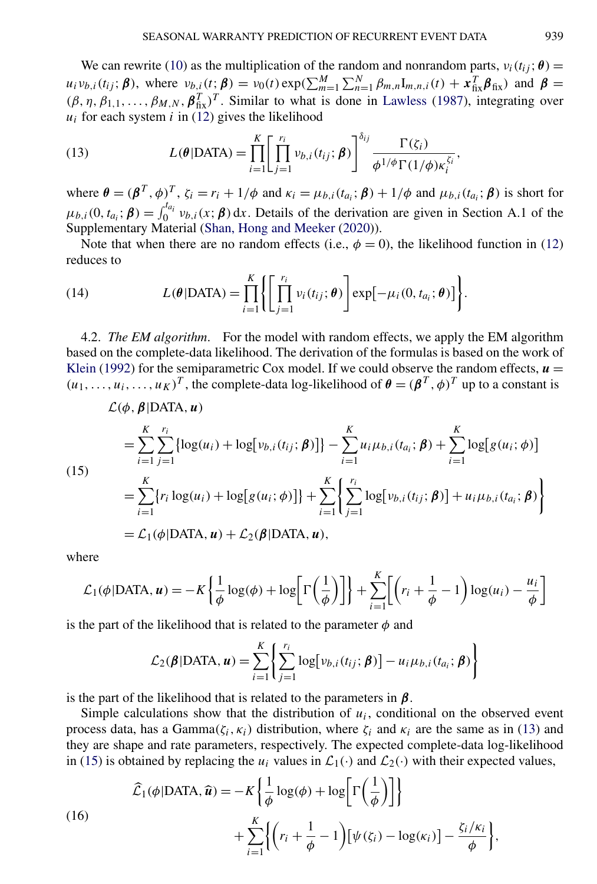<span id="page-10-0"></span>We can rewrite [\(10\)](#page-9-0) as the multiplication of the random and nonrandom parts,  $v_i(t_{ij}; \theta)$  =  $u_i v_{b,i}(t_{ij}; \boldsymbol{\beta})$ , where  $v_{b,i}(t; \boldsymbol{\beta}) = v_0(t) \exp(\sum_{m=1}^M \sum_{n=1}^N \beta_{m,n} I_{m,n,i}(t) + \mathbf{x}_{fix}^T \mathbf{\beta}_{fix})$  and  $\boldsymbol{\beta} =$  $(\beta, \eta, \beta_{1,1}, \ldots, \beta_{M,N}, \beta_{fix}^T)^T$ . Similar to what is done in [Lawless](#page-25-0) [\(1987\)](#page-25-0), integrating over  $u_i$  for each system  $i$  in [\(12\)](#page-9-0) gives the likelihood

(13) 
$$
L(\theta | \text{DATA}) = \prod_{i=1}^{K} \left[ \prod_{j=1}^{r_i} v_{b,i}(t_{ij}; \beta) \right]^{\delta_{ij}} \frac{\Gamma(\zeta_i)}{\phi^{1/\phi} \Gamma(1/\phi) \kappa_i^{\zeta_i}}
$$

where  $\theta = (\beta^T, \phi)^T$ ,  $\zeta_i = r_i + 1/\phi$  and  $\kappa_i = \mu_{b,i}(t_{a_i}; \beta) + 1/\phi$  and  $\mu_{b,i}(t_{a_i}; \beta)$  is short for  $\mu_{b,i}(0, t_{a_i}; \boldsymbol{\beta}) = \int_0^{t_{a_i}} v_{b,i}(x; \boldsymbol{\beta}) dx$ . Details of the derivation are given in Section A.1 of the Supplementary Material [\(Shan, Hong and Meeker](#page-26-0) [\(2020\)](#page-26-0)).

Note that when there are no random effects (i.e.,  $\phi = 0$ ), the likelihood function in [\(12\)](#page-9-0) reduces to

(14) 
$$
L(\theta | \text{DATA}) = \prod_{i=1}^{K} \left\{ \prod_{j=1}^{r_i} v_i(t_{ij}; \theta) \right\} \exp[-\mu_i(0, t_{a_i}; \theta)] \bigg\}.
$$

4.2. *The EM algorithm*. For the model with random effects, we apply the EM algorithm based on the complete-data likelihood. The derivation of the formulas is based on the work of [Klein](#page-25-0) [\(1992\)](#page-25-0) for the semiparametric Cox model. If we could observe the random effects,  $\boldsymbol{u} =$  $(u_1, \ldots, u_i, \ldots, u_K)^T$ , the complete-data log-likelihood of  $\theta = (\beta^T, \phi)^T$  up to a constant is

$$
\mathcal{L}(\phi, \beta | \text{DATA}, u)
$$
\n
$$
= \sum_{i=1}^{K} \sum_{j=1}^{r_i} \{ \log(u_i) + \log[v_{b,i}(t_{ij}; \beta)] \} - \sum_{i=1}^{K} u_i \mu_{b,i}(t_{a_i}; \beta) + \sum_{i=1}^{K} \log[g(u_i; \phi)]
$$
\n
$$
= \sum_{i=1}^{K} \{ r_i \log(u_i) + \log[g(u_i; \phi)] \} + \sum_{i=1}^{K} \left\{ \sum_{j=1}^{r_i} \log[v_{b,i}(t_{ij}; \beta)] + u_i \mu_{b,i}(t_{a_i}; \beta) \right\}
$$
\n
$$
= \mathcal{L}_1(\phi | \text{DATA}, u) + \mathcal{L}_2(\beta | \text{DATA}, u),
$$

where

$$
\mathcal{L}_1(\phi | \text{DATA}, \mathbf{u}) = -K \left\{ \frac{1}{\phi} \log(\phi) + \log \left[ \Gamma \left( \frac{1}{\phi} \right) \right] \right\} + \sum_{i=1}^K \left[ \left( r_i + \frac{1}{\phi} - 1 \right) \log(u_i) - \frac{u_i}{\phi} \right]
$$

is the part of the likelihood that is related to the parameter  $\phi$  and

$$
\mathcal{L}_2(\boldsymbol{\beta}|\text{DATA}, \boldsymbol{u}) = \sum_{i=1}^K \left\{ \sum_{j=1}^{r_i} \log[v_{b,i}(t_{ij}; \boldsymbol{\beta})] - u_i \mu_{b,i}(t_{a_i}; \boldsymbol{\beta}) \right\}
$$

is the part of the likelihood that is related to the parameters in *β*.

Simple calculations show that the distribution of  $u_i$ , conditional on the observed event process data, has a Gamma( $\zeta$ *<sub>i</sub>*,  $\kappa$ <sup>*i*</sup>) distribution, where  $\zeta$ <sup>*i*</sup> and  $\kappa$ <sup>*i*</sup> are the same as in (13) and they are shape and rate parameters, respectively. The expected complete-data log-likelihood in (15) is obtained by replacing the  $u_i$  values in  $\mathcal{L}_1(\cdot)$  and  $\mathcal{L}_2(\cdot)$  with their expected values,

(16)  

$$
\widehat{\mathcal{L}}_1(\phi | \text{DATA}, \widehat{u}) = -K \left\{ \frac{1}{\phi} \log(\phi) + \log \left[ \Gamma \left( \frac{1}{\phi} \right) \right] \right\} + \sum_{i=1}^K \left\{ \left( r_i + \frac{1}{\phi} - 1 \right) \left[ \psi(\zeta_i) - \log(\kappa_i) \right] - \frac{\zeta_i/\kappa_i}{\phi} \right\},
$$

*,*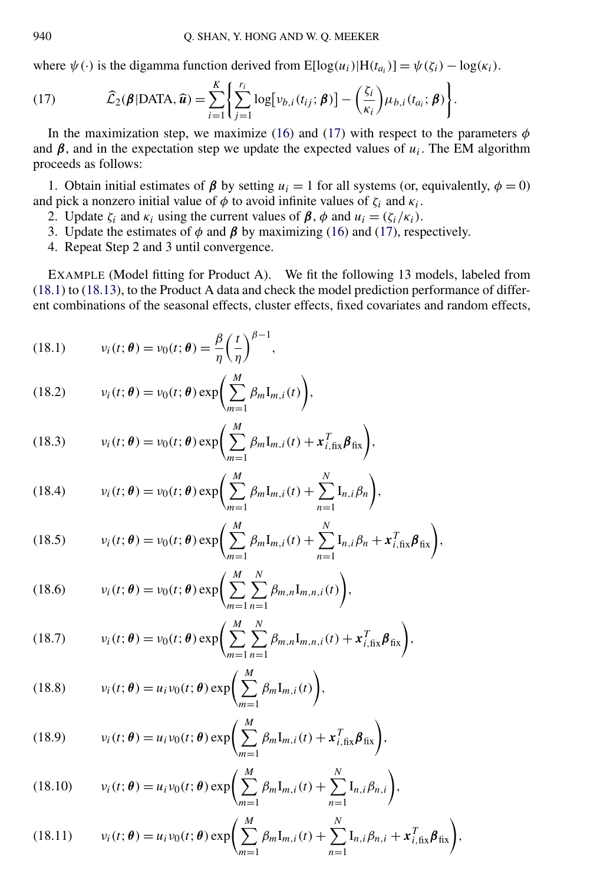<span id="page-11-0"></span>where  $\psi(\cdot)$  is the digamma function derived from  $E[log(u_i)|H(t_{a_i})] = \psi(\zeta_i) - log(\kappa_i)$ .

(17) 
$$
\widehat{\mathcal{L}}_2(\boldsymbol{\beta}|\text{DATA},\widehat{\boldsymbol{u}})=\sum_{i=1}^K\bigg\{\sum_{j=1}^{r_i}\log[\nu_{b,i}(t_{ij};\boldsymbol{\beta})]-\bigg(\frac{\zeta_i}{\kappa_i}\bigg)\mu_{b,i}(t_{a_i};\boldsymbol{\beta})\bigg\}.
$$

In the maximization step, we maximize [\(16\)](#page-10-0) and (17) with respect to the parameters  $\phi$ and  $\beta$ , and in the expectation step we update the expected values of  $u_i$ . The EM algorithm proceeds as follows:

1. Obtain initial estimates of  $\beta$  by setting  $u_i = 1$  for all systems (or, equivalently,  $\phi = 0$ ) and pick a nonzero initial value of  $\phi$  to avoid infinite values of  $\zeta_i$  and  $\kappa_i$ .

- 2. Update  $\zeta_i$  and  $\kappa_i$  using the current values of  $\beta$ ,  $\phi$  and  $u_i = (\zeta_i / \kappa_i)$ .
- 3. Update the estimates of  $\phi$  and  $\beta$  by maximizing [\(16\)](#page-10-0) and (17), respectively.
- 4. Repeat Step 2 and 3 until convergence.

EXAMPLE (Model fitting for Product A). We fit the following 13 models, labeled from (18.1) to [\(18.13\)](#page-12-0), to the Product A data and check the model prediction performance of different combinations of the seasonal effects, cluster effects, fixed covariates and random effects,

(18.1) 
$$
v_i(t; \boldsymbol{\theta}) = v_0(t; \boldsymbol{\theta}) = \frac{\beta}{\eta} \left(\frac{t}{\eta}\right)^{\beta - 1},
$$

(18.2) 
$$
v_i(t; \theta) = v_0(t; \theta) \exp\left(\sum_{m=1}^M \beta_m \mathbf{I}_{m,i}(t)\right),
$$

(18.3) 
$$
v_i(t; \boldsymbol{\theta}) = v_0(t; \boldsymbol{\theta}) \exp\left(\sum_{m=1}^M \beta_m \mathbf{I}_{m,i}(t) + \mathbf{x}_{i, \text{fix}}^T \boldsymbol{\beta}_{\text{fix}}\right),
$$

(18.4) 
$$
v_i(t; \theta) = v_0(t; \theta) \exp\left(\sum_{m=1}^M \beta_m \mathbf{I}_{m,i}(t) + \sum_{n=1}^N \mathbf{I}_{n,i} \beta_n\right),
$$

(18.5) 
$$
v_i(t; \boldsymbol{\theta}) = v_0(t; \boldsymbol{\theta}) \exp \left( \sum_{m=1}^M \beta_m \mathbf{I}_{m,i}(t) + \sum_{n=1}^N \mathbf{I}_{n,i} \beta_n + \boldsymbol{x}_{i,\text{fix}}^T \boldsymbol{\beta}_{\text{fix}} \right),
$$

(18.6) 
$$
v_i(t; \theta) = v_0(t; \theta) \exp \left( \sum_{m=1}^M \sum_{n=1}^N \beta_{m,n} I_{m,n,i}(t) \right),
$$

(18.7) 
$$
v_i(t; \boldsymbol{\theta}) = v_0(t; \boldsymbol{\theta}) \exp\left(\sum_{m=1}^M \sum_{n=1}^N \beta_{m,n} \mathbf{I}_{m,n,i}(t) + \mathbf{x}_{i,\text{fix}}^T \boldsymbol{\beta}_{\text{fix}}\right),
$$

(18.8) 
$$
v_i(t; \theta) = u_i v_0(t; \theta) \exp\left(\sum_{m=1}^M \beta_m \mathbf{I}_{m,i}(t)\right),
$$

(18.9) 
$$
v_i(t; \boldsymbol{\theta}) = u_i v_0(t; \boldsymbol{\theta}) \exp\left(\sum_{m=1}^M \beta_m \mathbf{I}_{m,i}(t) + \mathbf{x}_{i, fix}^T \boldsymbol{\beta}_{fix}\right),
$$

(18.10) 
$$
v_i(t; \theta) = u_i v_0(t; \theta) \exp \left( \sum_{m=1}^M \beta_m I_{m,i}(t) + \sum_{n=1}^N I_{n,i} \beta_{n,i} \right),
$$

(18.11) 
$$
v_i(t; \theta) = u_i v_0(t; \theta) \exp \left( \sum_{m=1}^M \beta_m I_{m,i}(t) + \sum_{n=1}^N I_{n,i} \beta_{n,i} + x_{i,fix}^T \beta_{fix} \right),
$$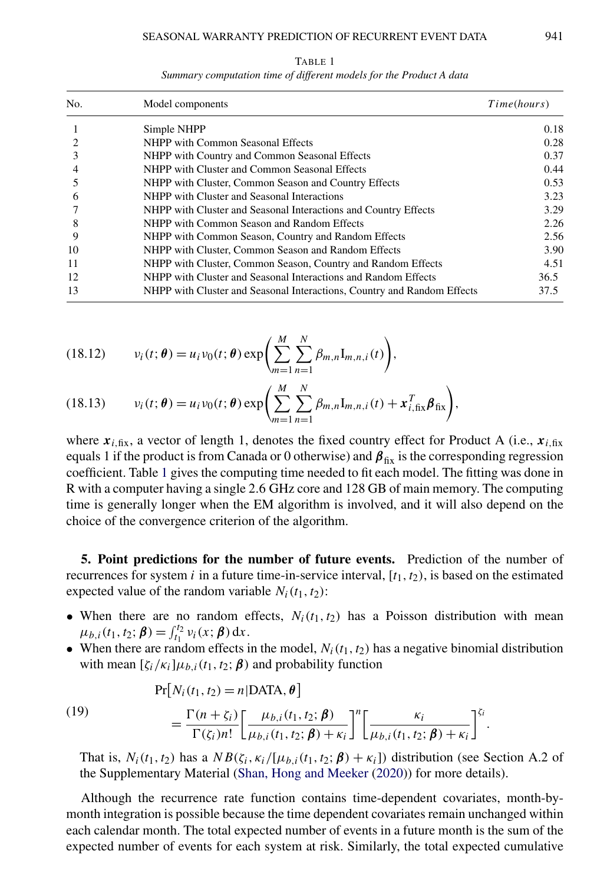<span id="page-12-0"></span>

| No. | Model components                                                        |      |
|-----|-------------------------------------------------------------------------|------|
|     | Simple NHPP                                                             | 0.18 |
|     | NHPP with Common Seasonal Effects                                       | 0.28 |
|     | NHPP with Country and Common Seasonal Effects                           | 0.37 |
|     | NHPP with Cluster and Common Seasonal Effects                           | 0.44 |
|     | NHPP with Cluster, Common Season and Country Effects                    | 0.53 |
| 6   | NHPP with Cluster and Seasonal Interactions                             | 3.23 |
|     | NHPP with Cluster and Seasonal Interactions and Country Effects         | 3.29 |
| 8   | NHPP with Common Season and Random Effects                              | 2.26 |
| 9   | NHPP with Common Season, Country and Random Effects                     | 2.56 |
| 10  | NHPP with Cluster, Common Season and Random Effects                     | 3.90 |
| 11  | NHPP with Cluster, Common Season, Country and Random Effects            | 4.51 |
| 12  | NHPP with Cluster and Seasonal Interactions and Random Effects          | 36.5 |
| 13  | NHPP with Cluster and Seasonal Interactions, Country and Random Effects | 37.5 |

TABLE 1 *Summary computation time of different models for the Product A data*

(18.12) 
$$
v_i(t; \theta) = u_i v_0(t; \theta) \exp\left(\sum_{m=1}^M \sum_{n=1}^N \beta_{m,n} I_{m,n,i}(t)\right),
$$

(18.13) 
$$
v_i(t; \theta) = u_i v_0(t; \theta) \exp \left( \sum_{m=1}^M \sum_{n=1}^N \beta_{m,n} I_{m,n,i}(t) + x_{i,fix}^T \beta_{fix} \right),
$$

where  $x_{i,fix}$ , a vector of length 1, denotes the fixed country effect for Product A (i.e.,  $x_{i,fix}$ equals 1 if the product is from Canada or 0 otherwise) and  $\beta_{fix}$  is the corresponding regression coefficient. Table 1 gives the computing time needed to fit each model. The fitting was done in R with a computer having a single 2*.*6 GHz core and 128 GB of main memory. The computing time is generally longer when the EM algorithm is involved, and it will also depend on the choice of the convergence criterion of the algorithm.

**5. Point predictions for the number of future events.** Prediction of the number of recurrences for system  $i$  in a future time-in-service interval,  $[t_1, t_2)$ , is based on the estimated expected value of the random variable  $N_i(t_1, t_2)$ :

- When there are no random effects,  $N_i(t_1, t_2)$  has a Poisson distribution with mean  $\mu_{b,i}(t_1, t_2; \boldsymbol{\beta}) = \int_{t_1}^{t_2} v_i(x; \boldsymbol{\beta}) dx.$
- When there are random effects in the model,  $N_i(t_1, t_2)$  has a negative binomial distribution with mean  $[\zeta_i/\kappa_i]\mu_{b,i}(t_1,t_2;\boldsymbol{\beta})$  and probability function

$$
Pr[N_i(t_1, t_2) = n | DATA, \theta]
$$

(19) 
$$
= \frac{\Gamma(n+\zeta_i)}{\Gamma(\zeta_i)n!} \left[ \frac{\mu_{b,i}(t_1,t_2;\boldsymbol{\beta})}{\mu_{b,i}(t_1,t_2;\boldsymbol{\beta})+\kappa_i} \right]^n \left[ \frac{\kappa_i}{\mu_{b,i}(t_1,t_2;\boldsymbol{\beta})+\kappa_i} \right]^{\zeta_i}.
$$

That is,  $N_i(t_1, t_2)$  has a  $NB(\zeta_i, \kappa_i/[\mu_{b,i}(t_1, t_2; \beta) + \kappa_i])$  distribution (see Section A.2 of the Supplementary Material [\(Shan, Hong and Meeker](#page-26-0) [\(2020\)](#page-26-0)) for more details).

Although the recurrence rate function contains time-dependent covariates, month-bymonth integration is possible because the time dependent covariates remain unchanged within each calendar month. The total expected number of events in a future month is the sum of the expected number of events for each system at risk. Similarly, the total expected cumulative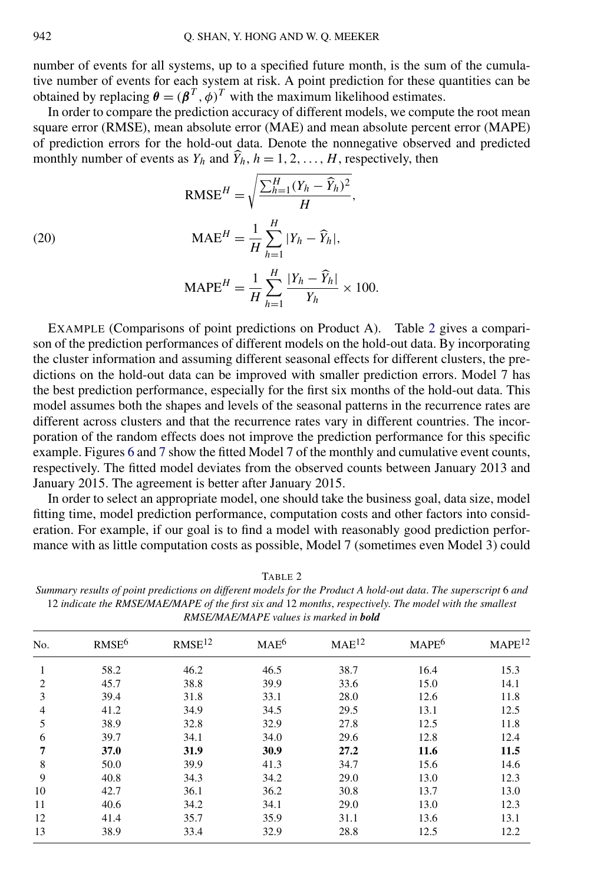number of events for all systems, up to a specified future month, is the sum of the cumulative number of events for each system at risk. A point prediction for these quantities can be obtained by replacing  $\theta = (\beta^T, \phi)^T$  with the maximum likelihood estimates.

In order to compare the prediction accuracy of different models, we compute the root mean square error (RMSE), mean absolute error (MAE) and mean absolute percent error (MAPE) of prediction errors for the hold-out data. Denote the nonnegative observed and predicted monthly number of events as  $Y_h$  and  $\hat{Y}_h$ ,  $h = 1, 2, ..., H$ , respectively, then

(20) 
$$
\text{RMSE}^{H} = \sqrt{\frac{\sum_{h=1}^{H} (Y_{h} - \widehat{Y}_{h})^{2}}{H}},
$$

$$
\text{MAE}^{H} = \frac{1}{H} \sum_{h=1}^{H} |Y_{h} - \widehat{Y}_{h}|,
$$

$$
I_{h=1}
$$
  
MAPE<sup>H</sup> =  $\frac{1}{H} \sum_{h=1}^{H} \frac{|Y_h - \widehat{Y}_h|}{Y_h} \times 100.$ 

EXAMPLE (Comparisons of point predictions on Product A). Table 2 gives a comparison of the prediction performances of different models on the hold-out data. By incorporating the cluster information and assuming different seasonal effects for different clusters, the predictions on the hold-out data can be improved with smaller prediction errors. Model 7 has the best prediction performance, especially for the first six months of the hold-out data. This model assumes both the shapes and levels of the seasonal patterns in the recurrence rates are different across clusters and that the recurrence rates vary in different countries. The incorporation of the random effects does not improve the prediction performance for this specific example. Figures [6](#page-14-0) and [7](#page-14-0) show the fitted Model 7 of the monthly and cumulative event counts, respectively. The fitted model deviates from the observed counts between January 2013 and January 2015. The agreement is better after January 2015.

In order to select an appropriate model, one should take the business goal, data size, model fitting time, model prediction performance, computation costs and other factors into consideration. For example, if our goal is to find a model with reasonably good prediction performance with as little computation costs as possible, Model 7 (sometimes even Model 3) could

| <i>RMSE/MAE/MAI E vanes is marked in <b>boul</b></i> |                   |                    |                  |                   |                   |                    |  |  |  |
|------------------------------------------------------|-------------------|--------------------|------------------|-------------------|-------------------|--------------------|--|--|--|
| No.                                                  | RMSE <sup>6</sup> | RMSE <sup>12</sup> | MAE <sup>6</sup> | MAE <sup>12</sup> | MAPE <sup>6</sup> | MAPE <sup>12</sup> |  |  |  |
|                                                      | 58.2              | 46.2               | 46.5             | 38.7              | 16.4              | 15.3               |  |  |  |
| 2                                                    | 45.7              | 38.8               | 39.9             | 33.6              | 15.0              | 14.1               |  |  |  |
| 3                                                    | 39.4              | 31.8               | 33.1             | 28.0              | 12.6              | 11.8               |  |  |  |
| $\overline{4}$                                       | 41.2              | 34.9               | 34.5             | 29.5              | 13.1              | 12.5               |  |  |  |
| 5                                                    | 38.9              | 32.8               | 32.9             | 27.8              | 12.5              | 11.8               |  |  |  |
| 6                                                    | 39.7              | 34.1               | 34.0             | 29.6              | 12.8              | 12.4               |  |  |  |
| 7                                                    | <b>37.0</b>       | 31.9               | 30.9             | 27.2              | 11.6              | 11.5               |  |  |  |
| 8                                                    | 50.0              | 39.9               | 41.3             | 34.7              | 15.6              | 14.6               |  |  |  |
| 9                                                    | 40.8              | 34.3               | 34.2             | 29.0              | 13.0              | 12.3               |  |  |  |
| 10                                                   | 42.7              | 36.1               | 36.2             | 30.8              | 13.7              | 13.0               |  |  |  |
| 11                                                   | 40.6              | 34.2               | 34.1             | 29.0              | 13.0              | 12.3               |  |  |  |
| 12                                                   | 41.4              | 35.7               | 35.9             | 31.1              | 13.6              | 13.1               |  |  |  |
| 13                                                   | 38.9              | 33.4               | 32.9             | 28.8              | 12.5              | 12.2               |  |  |  |

TABLE 2

*Summary results of point predictions on different models for the Product A hold-out data*. *The superscript* 6 *and* 12 *indicate the RMSE/MAE/MAPE of the first six and* 12 *months*, *respectively*. *The model with the smallest RMSE/MAE/MAPE values is marked in bold*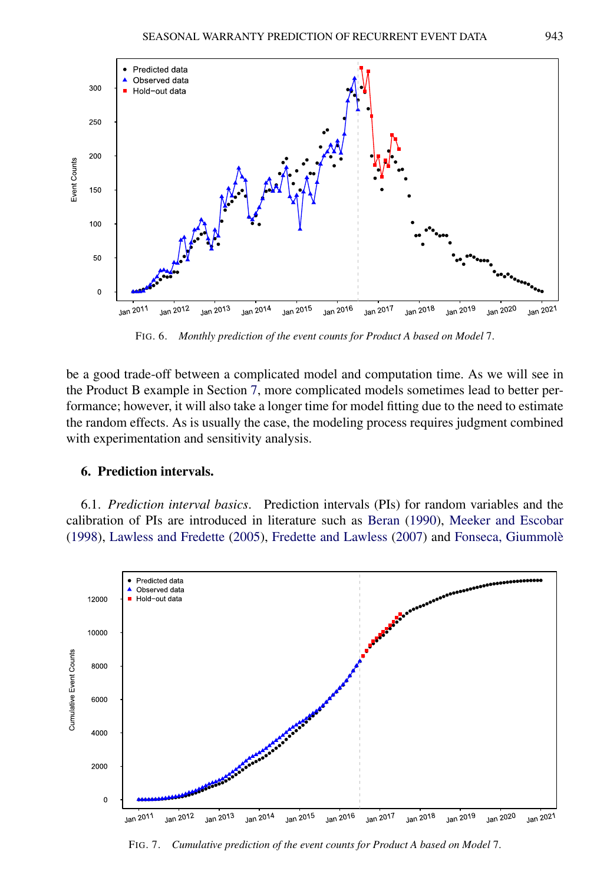<span id="page-14-0"></span>

FIG. 6. *Monthly prediction of the event counts for Product A based on Model* 7.

be a good trade-off between a complicated model and computation time. As we will see in the Product B example in Section [7,](#page-17-0) more complicated models sometimes lead to better performance; however, it will also take a longer time for model fitting due to the need to estimate the random effects. As is usually the case, the modeling process requires judgment combined with experimentation and sensitivity analysis.

#### **6. Prediction intervals.**

6.1. *Prediction interval basics*. Prediction intervals (PIs) for random variables and the calibration of PIs are introduced in literature such as [Beran](#page-24-0) [\(1990\)](#page-24-0), [Meeker and Escobar](#page-25-0) [\(1998\)](#page-25-0), [Lawless and Fredette](#page-25-0) [\(2005\)](#page-25-0), [Fredette and Lawless](#page-25-0) [\(2007\)](#page-25-0) and [Fonseca, Giummolè](#page-25-0)



FIG. 7. *Cumulative prediction of the event counts for Product A based on Model* 7.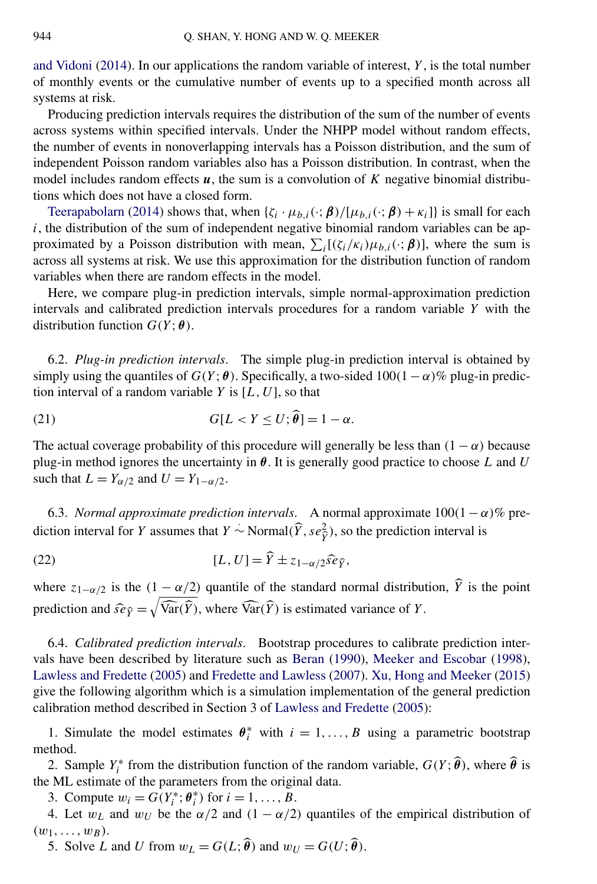[and Vidoni](#page-25-0) [\(2014\)](#page-25-0). In our applications the random variable of interest, *Y* , is the total number of monthly events or the cumulative number of events up to a specified month across all systems at risk.

Producing prediction intervals requires the distribution of the sum of the number of events across systems within specified intervals. Under the NHPP model without random effects, the number of events in nonoverlapping intervals has a Poisson distribution, and the sum of independent Poisson random variables also has a Poisson distribution. In contrast, when the model includes random effects *u*, the sum is a convolution of *K* negative binomial distributions which does not have a closed form.

[Teerapabolarn](#page-26-0) [\(2014\)](#page-26-0) shows that, when  $\{\zeta_i \cdot \mu_{b,i}(\cdot;\boldsymbol{\beta})/[\mu_{b,i}(\cdot;\boldsymbol{\beta}) + \kappa_i]\}$  is small for each  $i$ , the distribution of the sum of independent negative binomial random variables can be approximated by a Poisson distribution with mean,  $\sum_i [(\zeta_i/\kappa_i)\mu_{b,i}(\cdot;\boldsymbol{\beta})]$ , where the sum is across all systems at risk. We use this approximation for the distribution function of random variables when there are random effects in the model.

Here, we compare plug-in prediction intervals, simple normal-approximation prediction intervals and calibrated prediction intervals procedures for a random variable *Y* with the distribution function  $G(Y; \theta)$ .

6.2. *Plug-in prediction intervals*. The simple plug-in prediction interval is obtained by simply using the quantiles of  $G(Y; \theta)$ . Specifically, a two-sided  $100(1 - \alpha)\%$  plug-in prediction interval of a random variable  $Y$  is  $[L, U]$ , so that

(21) 
$$
G[L < Y \le U; \widehat{\boldsymbol{\theta}}] = 1 - \alpha.
$$

The actual coverage probability of this procedure will generally be less than  $(1 - \alpha)$  because plug-in method ignores the uncertainty in *θ*. It is generally good practice to choose *L* and *U* such that  $L = Y_{\alpha/2}$  and  $U = Y_{1-\alpha/2}$ .

6.3. *Normal approximate prediction intervals.* A normal approximate  $100(1 - \alpha)\%$  prediction interval for *Y* assumes that *Y* ~ Normal $(\widehat{Y}, s e_{\widehat{Y}}^2)$ , so the prediction interval is

(22) 
$$
[L, U] = \widehat{Y} \pm z_{1-\alpha/2} \widehat{se}_{\widehat{Y}},
$$

where  $z_{1-\alpha/2}$  is the  $(1-\alpha/2)$  quantile of the standard normal distribution,  $\hat{Y}$  is the point prediction and  $\widehat{se}_{\widehat{Y}} = \sqrt{\widehat{Var}(\widehat{Y})}$ , where  $\widehat{Var}(\widehat{Y})$  is estimated variance of *Y*.

6.4. *Calibrated prediction intervals*. Bootstrap procedures to calibrate prediction intervals have been described by literature such as [Beran](#page-24-0) [\(1990\)](#page-24-0), [Meeker and Escobar](#page-25-0) [\(1998\)](#page-25-0), [Lawless and Fredette](#page-25-0) [\(2005\)](#page-25-0) and [Fredette and Lawless](#page-25-0) [\(2007\)](#page-25-0). [Xu, Hong and Meeker](#page-26-0) [\(2015\)](#page-26-0) give the following algorithm which is a simulation implementation of the general prediction calibration method described in Section 3 of [Lawless and Fredette](#page-25-0) [\(2005\)](#page-25-0):

1. Simulate the model estimates  $\theta_i^*$  with  $i = 1, ..., B$  using a parametric bootstrap method.

2. Sample  $Y_i^*$  from the distribution function of the random variable,  $G(Y; \hat{\theta})$ , where  $\hat{\theta}$  is the ML estimate of the parameters from the original data.

3. Compute  $w_i = G(Y_i^*; \theta_i^*)$  for  $i = 1, ..., B$ .

4. Let  $w_L$  and  $w_U$  be the  $\alpha/2$  and  $(1 - \alpha/2)$  quantiles of the empirical distribution of  $(w_1, \ldots, w_B)$ .

5. Solve *L* and *U* from  $w_L = G(L; \hat{\theta})$  and  $w_U = G(U; \hat{\theta})$ .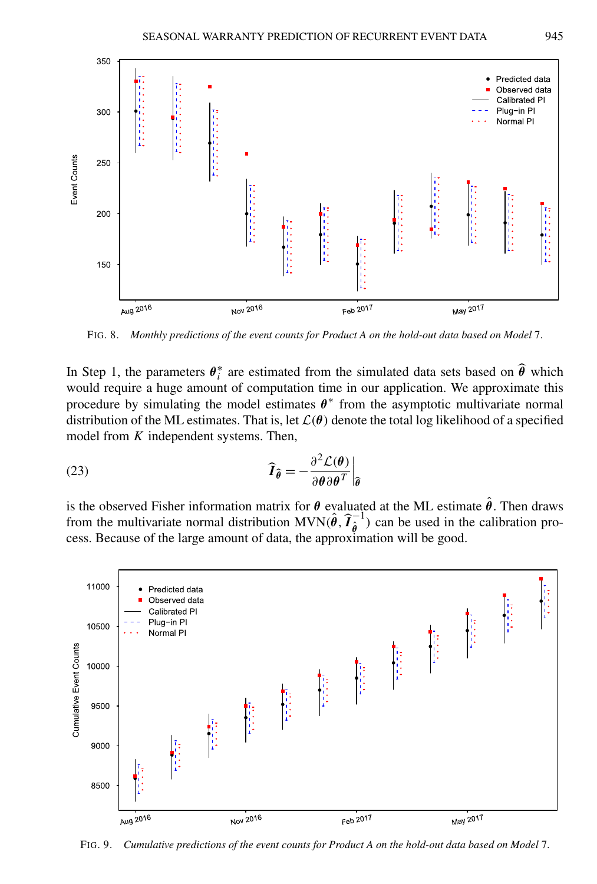<span id="page-16-0"></span>

FIG. 8. *Monthly predictions of the event counts for Product A on the hold-out data based on Model* 7.

In Step 1, the parameters  $\theta_i^*$  are estimated from the simulated data sets based on  $\widehat{\theta}$  which would require a huge amount of computation time in our application. We approximate this procedure by simulating the model estimates  $\theta^*$  from the asymptotic multivariate normal distribution of the ML estimates. That is, let  $\mathcal{L}(\theta)$  denote the total log likelihood of a specified model from *K* independent systems. Then,

(23) 
$$
\widehat{I}_{\widehat{\theta}} = -\frac{\partial^2 \mathcal{L}(\theta)}{\partial \theta \partial \theta^T}\Big|_{\widehat{\theta}}
$$

is the observed Fisher information matrix for  $\theta$  evaluated at the ML estimate  $\hat{\theta}$ . Then draws from the multivariate normal distribution  $MVN(\hat{\theta}, \hat{T}_{\hat{\theta}}^{-1})$  can be used in the calibration process. Because of the large amount of data, the approximation will be good.



FIG. 9. *Cumulative predictions of the event counts for Product A on the hold-out data based on Model* 7.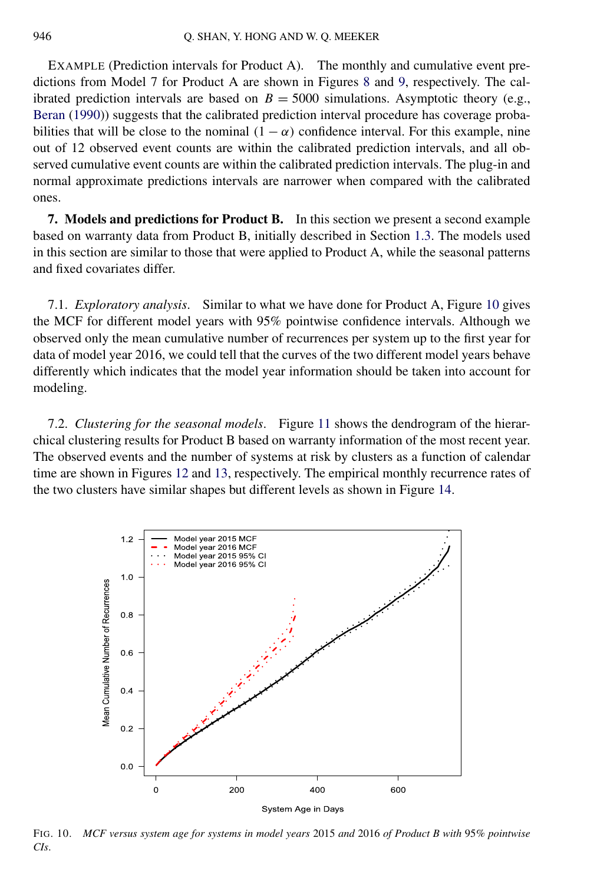<span id="page-17-0"></span>EXAMPLE (Prediction intervals for Product A). The monthly and cumulative event predictions from Model 7 for Product A are shown in Figures [8](#page-16-0) and [9,](#page-16-0) respectively. The calibrated prediction intervals are based on  $B = 5000$  simulations. Asymptotic theory (e.g., [Beran](#page-24-0) [\(1990\)](#page-24-0)) suggests that the calibrated prediction interval procedure has coverage probabilities that will be close to the nominal  $(1 - \alpha)$  confidence interval. For this example, nine out of 12 observed event counts are within the calibrated prediction intervals, and all observed cumulative event counts are within the calibrated prediction intervals. The plug-in and normal approximate predictions intervals are narrower when compared with the calibrated ones.

**7. Models and predictions for Product B.** In this section we present a second example based on warranty data from Product B, initially described in Section [1.3.](#page-1-0) The models used in this section are similar to those that were applied to Product A, while the seasonal patterns and fixed covariates differ.

7.1. *Exploratory analysis*. Similar to what we have done for Product A, Figure 10 gives the MCF for different model years with 95% pointwise confidence intervals. Although we observed only the mean cumulative number of recurrences per system up to the first year for data of model year 2016, we could tell that the curves of the two different model years behave differently which indicates that the model year information should be taken into account for modeling.

7.2. *Clustering for the seasonal models*. Figure [11](#page-18-0) shows the dendrogram of the hierarchical clustering results for Product B based on warranty information of the most recent year. The observed events and the number of systems at risk by clusters as a function of calendar time are shown in Figures [12](#page-18-0) and [13,](#page-19-0) respectively. The empirical monthly recurrence rates of the two clusters have similar shapes but different levels as shown in Figure [14.](#page-19-0)



FIG. 10. *MCF versus system age for systems in model years* 2015 *and* 2016 *of Product B with* 95*% pointwise CIs*.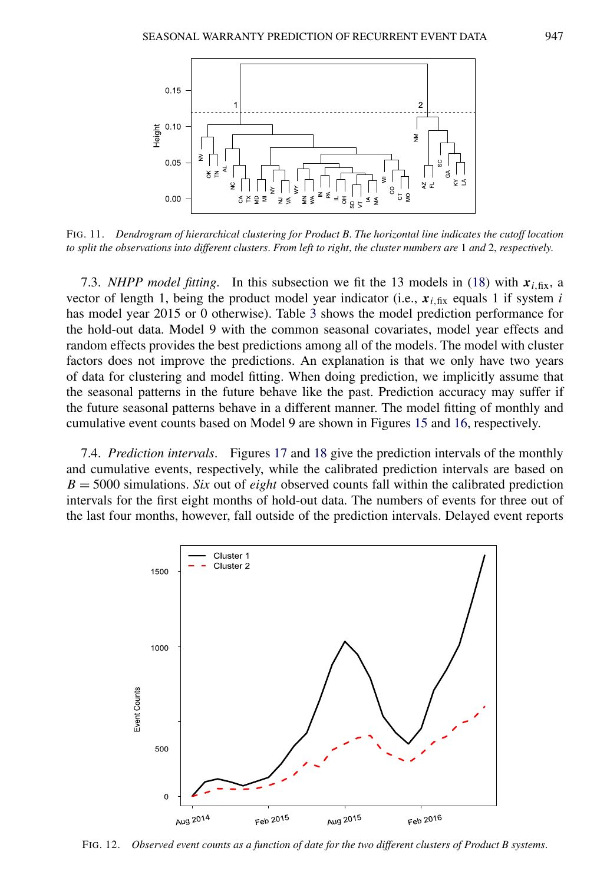<span id="page-18-0"></span>

FIG. 11. *Dendrogram of hierarchical clustering for Product B*. *The horizontal line indicates the cutoff location to split the observations into different clusters*. *From left to right*, *the cluster numbers are* 1 *and* 2, *respectively*.

7.3. *NHPP model fitting*. In this subsection we fit the 13 models in [\(18\)](#page-11-0) with  $x_{i, fix}$ , a vector of length 1, being the product model year indicator (i.e.,  $x_{i, fix}$  equals 1 if system *i* has model year 2015 or 0 otherwise). Table [3](#page-20-0) shows the model prediction performance for the hold-out data. Model 9 with the common seasonal covariates, model year effects and random effects provides the best predictions among all of the models. The model with cluster factors does not improve the predictions. An explanation is that we only have two years of data for clustering and model fitting. When doing prediction, we implicitly assume that the seasonal patterns in the future behave like the past. Prediction accuracy may suffer if the future seasonal patterns behave in a different manner. The model fitting of monthly and cumulative event counts based on Model 9 are shown in Figures [15](#page-20-0) and [16,](#page-20-0) respectively.

7.4. *Prediction intervals*. Figures [17](#page-21-0) and [18](#page-21-0) give the prediction intervals of the monthly and cumulative events, respectively, while the calibrated prediction intervals are based on *B* = 5000 simulations. *Six* out of *eight* observed counts fall within the calibrated prediction intervals for the first eight months of hold-out data. The numbers of events for three out of the last four months, however, fall outside of the prediction intervals. Delayed event reports



FIG. 12. *Observed event counts as a function of date for the two different clusters of Product B systems*.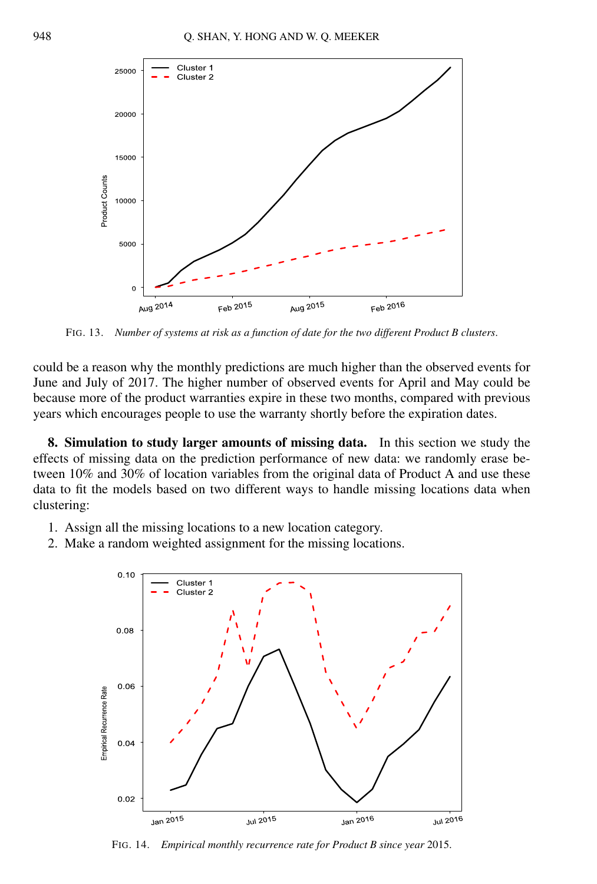<span id="page-19-0"></span>

FIG. 13. *Number of systems at risk as a function of date for the two different Product B clusters*.

could be a reason why the monthly predictions are much higher than the observed events for June and July of 2017. The higher number of observed events for April and May could be because more of the product warranties expire in these two months, compared with previous years which encourages people to use the warranty shortly before the expiration dates.

**8. Simulation to study larger amounts of missing data.** In this section we study the effects of missing data on the prediction performance of new data: we randomly erase between 10% and 30% of location variables from the original data of Product A and use these data to fit the models based on two different ways to handle missing locations data when clustering:

- 1. Assign all the missing locations to a new location category.
- 2. Make a random weighted assignment for the missing locations.



FIG. 14. *Empirical monthly recurrence rate for Product B since year* 2015.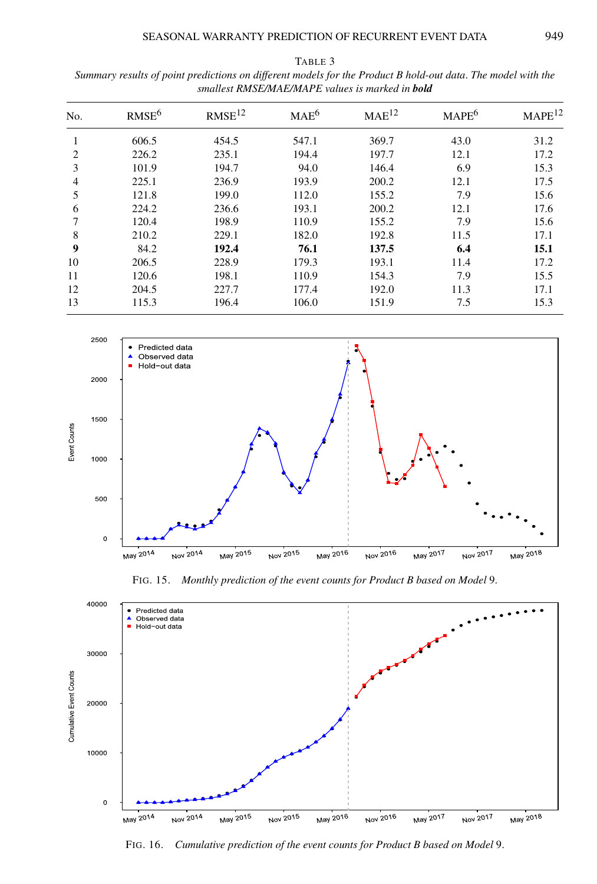| No. | RMSE <sup>6</sup> | RMSE <sup>12</sup> | MAE <sup>6</sup> | MAE <sup>12</sup> | $MAPE^6$ | MAPE <sup>12</sup> |
|-----|-------------------|--------------------|------------------|-------------------|----------|--------------------|
|     | 606.5             | 454.5              | 547.1            | 369.7             | 43.0     | 31.2               |
| 2   | 226.2             | 235.1              | 194.4            | 197.7             | 12.1     | 17.2               |
| 3   | 101.9             | 194.7              | 94.0             | 146.4             | 6.9      | 15.3               |
| 4   | 225.1             | 236.9              | 193.9            | 200.2             | 12.1     | 17.5               |
| 5   | 121.8             | 199.0              | 112.0            | 155.2             | 7.9      | 15.6               |
| 6   | 224.2             | 236.6              | 193.1            | 200.2             | 12.1     | 17.6               |
| 7   | 120.4             | 198.9              | 110.9            | 155.2             | 7.9      | 15.6               |
| 8   | 210.2             | 229.1              | 182.0            | 192.8             | 11.5     | 17.1               |
| 9   | 84.2              | 192.4              | 76.1             | 137.5             | 6.4      | 15.1               |
| 10  | 206.5             | 228.9              | 179.3            | 193.1             | 11.4     | 17.2               |
| 11  | 120.6             | 198.1              | 110.9            | 154.3             | 7.9      | 15.5               |
| 12  | 204.5             | 227.7              | 177.4            | 192.0             | 11.3     | 17.1               |
| 13  | 115.3             | 196.4              | 106.0            | 151.9             | 7.5      | 15.3               |



FIG. 15. *Monthly prediction of the event counts for Product B based on Model* 9.



FIG. 16. *Cumulative prediction of the event counts for Product B based on Model* 9.

<span id="page-20-0"></span>TABLE 3 *Summary results of point predictions on different models for the Product B hold-out data*. *The model with the smallest RMSE/MAE/MAPE values is marked in bold*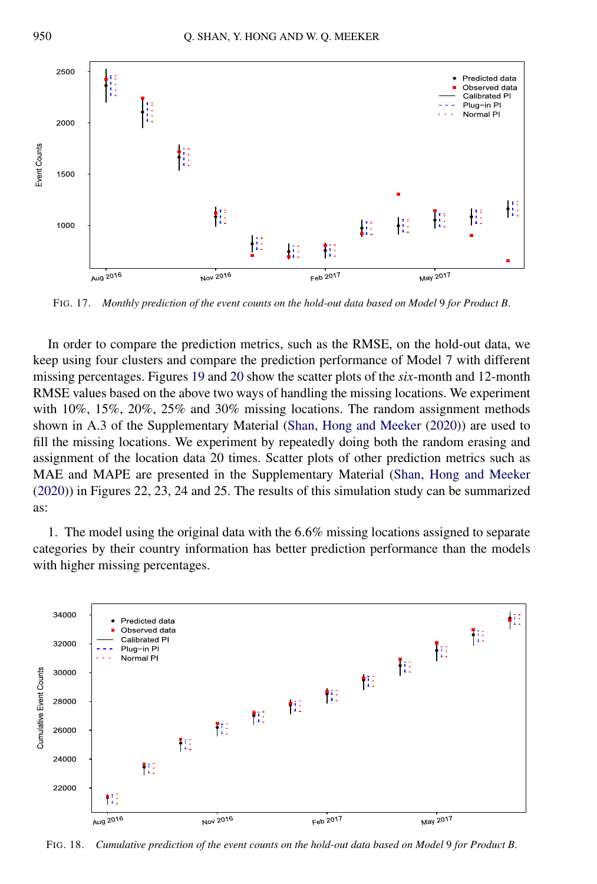<span id="page-21-0"></span>

FIG. 17. *Monthly prediction of the event counts on the hold-out data based on Model* 9 *for Product B*.

In order to compare the prediction metrics, such as the RMSE, on the hold-out data, we keep using four clusters and compare the prediction performance of Model 7 with different missing percentages. Figures [19](#page-22-0) and [20](#page-23-0) show the scatter plots of the *six*-month and 12-month RMSE values based on the above two ways of handling the missing locations. We experiment with  $10\%$ ,  $15\%$ ,  $20\%$ ,  $25\%$  and  $30\%$  missing locations. The random assignment methods shown in A.3 of the Supplementary Material [\(Shan, Hong and Meeker](#page-26-0) [\(2020\)](#page-26-0)) are used to fill the missing locations. We experiment by repeatedly doing both the random erasing and assignment of the location data 20 times. Scatter plots of other prediction metrics such as MAE and MAPE are presented in the Supplementary Material [\(Shan, Hong and Meeker](#page-26-0) [\(2020\)](#page-26-0)) in Figures 22, 23, 24 and 25. The results of this simulation study can be summarized as:

1. The model using the original data with the 6*.*6% missing locations assigned to separate categories by their country information has better prediction performance than the models with higher missing percentages.



FIG. 18. *Cumulative prediction of the event counts on the hold-out data based on Model* 9 *for Product B*.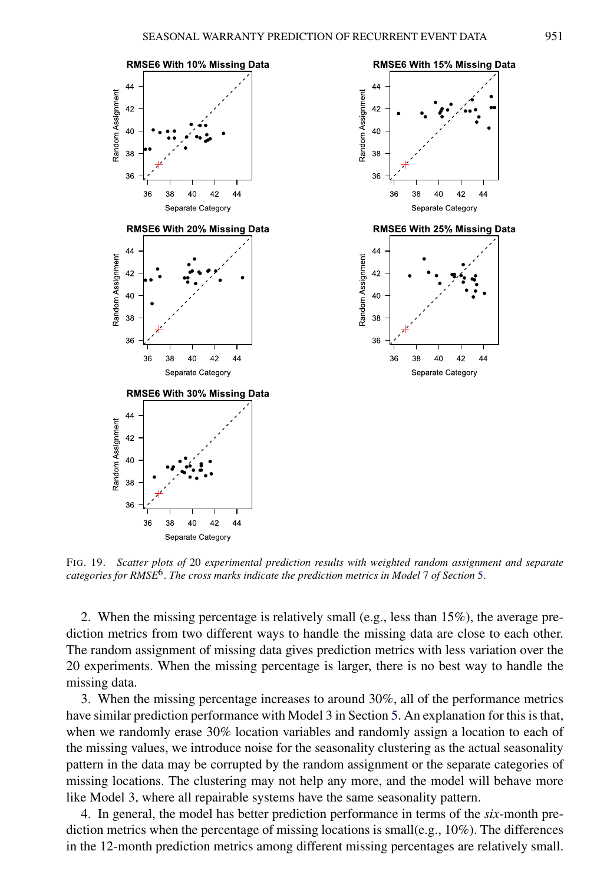<span id="page-22-0"></span>

FIG. 19. *Scatter plots of* 20 *experimental prediction results with weighted random assignment and separate categories for RMSE*6. *The cross marks indicate the prediction metrics in Model* 7 *of Section* [5.](#page-12-0)

2. When the missing percentage is relatively small (e.g., less than 15%), the average prediction metrics from two different ways to handle the missing data are close to each other. The random assignment of missing data gives prediction metrics with less variation over the 20 experiments. When the missing percentage is larger, there is no best way to handle the missing data.

3. When the missing percentage increases to around 30%, all of the performance metrics have similar prediction performance with Model 3 in Section [5.](#page-12-0) An explanation for this is that, when we randomly erase 30% location variables and randomly assign a location to each of the missing values, we introduce noise for the seasonality clustering as the actual seasonality pattern in the data may be corrupted by the random assignment or the separate categories of missing locations. The clustering may not help any more, and the model will behave more like Model 3, where all repairable systems have the same seasonality pattern.

4. In general, the model has better prediction performance in terms of the *six*-month prediction metrics when the percentage of missing locations is small(e.g.,  $10\%$ ). The differences in the 12-month prediction metrics among different missing percentages are relatively small.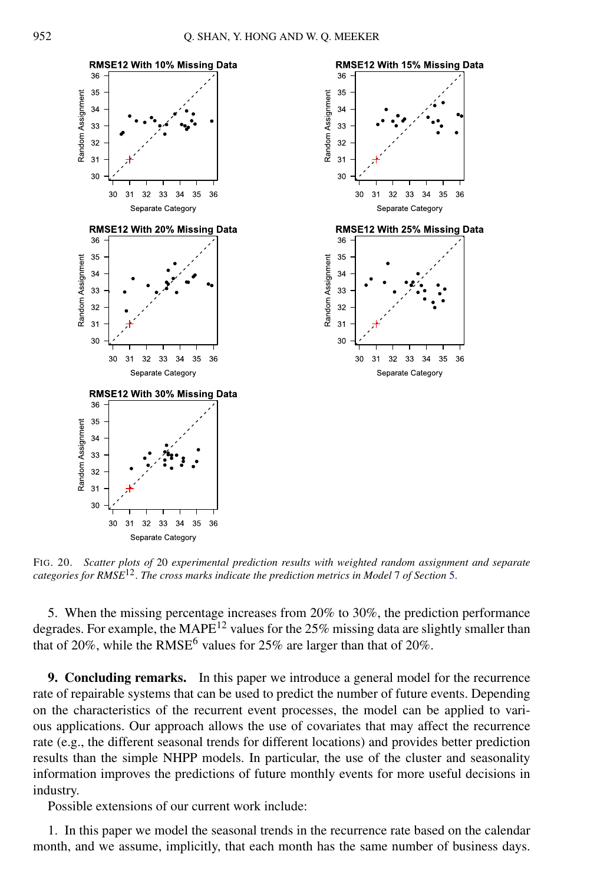<span id="page-23-0"></span>

FIG. 20. *Scatter plots of* 20 *experimental prediction results with weighted random assignment and separate categories for RMSE*12. *The cross marks indicate the prediction metrics in Model* 7 *of Section* [5.](#page-12-0)

5. When the missing percentage increases from 20% to 30%, the prediction performance degrades. For example, the MAPE<sup>12</sup> values for the  $25\%$  missing data are slightly smaller than that of 20%, while the RMSE<sup>6</sup> values for 25% are larger than that of 20%.

**9. Concluding remarks.** In this paper we introduce a general model for the recurrence rate of repairable systems that can be used to predict the number of future events. Depending on the characteristics of the recurrent event processes, the model can be applied to various applications. Our approach allows the use of covariates that may affect the recurrence rate (e.g., the different seasonal trends for different locations) and provides better prediction results than the simple NHPP models. In particular, the use of the cluster and seasonality information improves the predictions of future monthly events for more useful decisions in industry.

Possible extensions of our current work include:

1. In this paper we model the seasonal trends in the recurrence rate based on the calendar month, and we assume, implicitly, that each month has the same number of business days.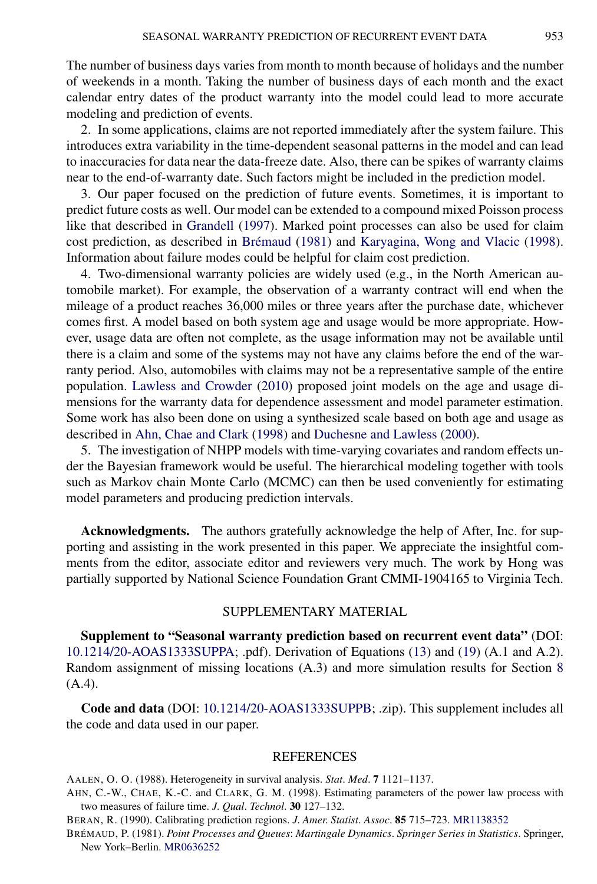<span id="page-24-0"></span>The number of business days varies from month to month because of holidays and the number of weekends in a month. Taking the number of business days of each month and the exact calendar entry dates of the product warranty into the model could lead to more accurate modeling and prediction of events.

2. In some applications, claims are not reported immediately after the system failure. This introduces extra variability in the time-dependent seasonal patterns in the model and can lead to inaccuracies for data near the data-freeze date. Also, there can be spikes of warranty claims near to the end-of-warranty date. Such factors might be included in the prediction model.

3. Our paper focused on the prediction of future events. Sometimes, it is important to predict future costs as well. Our model can be extended to a compound mixed Poisson process like that described in [Grandell](#page-25-0) [\(1997\)](#page-25-0). Marked point processes can also be used for claim cost prediction, as described in Brémaud (1981) and [Karyagina, Wong and Vlacic](#page-25-0) [\(1998\)](#page-25-0). Information about failure modes could be helpful for claim cost prediction.

4. Two-dimensional warranty policies are widely used (e.g., in the North American automobile market). For example, the observation of a warranty contract will end when the mileage of a product reaches 36,000 miles or three years after the purchase date, whichever comes first. A model based on both system age and usage would be more appropriate. However, usage data are often not complete, as the usage information may not be available until there is a claim and some of the systems may not have any claims before the end of the warranty period. Also, automobiles with claims may not be a representative sample of the entire population. [Lawless and Crowder](#page-25-0) [\(2010\)](#page-25-0) proposed joint models on the age and usage dimensions for the warranty data for dependence assessment and model parameter estimation. Some work has also been done on using a synthesized scale based on both age and usage as described in Ahn, Chae and Clark (1998) and [Duchesne and Lawless](#page-25-0) [\(2000\)](#page-25-0).

5. The investigation of NHPP models with time-varying covariates and random effects under the Bayesian framework would be useful. The hierarchical modeling together with tools such as Markov chain Monte Carlo (MCMC) can then be used conveniently for estimating model parameters and producing prediction intervals.

**Acknowledgments.** The authors gratefully acknowledge the help of After, Inc. for supporting and assisting in the work presented in this paper. We appreciate the insightful comments from the editor, associate editor and reviewers very much. The work by Hong was partially supported by National Science Foundation Grant CMMI-1904165 to Virginia Tech.

# SUPPLEMENTARY MATERIAL

**Supplement to "Seasonal warranty prediction based on recurrent event data"** (DOI: [10.1214/20-AOAS1333SUPPA](https://doi.org/10.1214/20-AOAS1333SUPPA); .pdf). Derivation of Equations [\(13\)](#page-10-0) and [\(19\)](#page-12-0) (A.1 and A.2). Random assignment of missing locations (A.3) and more simulation results for Section [8](#page-19-0) (A.4).

**Code and data** (DOI: [10.1214/20-AOAS1333SUPPB;](https://doi.org/10.1214/20-AOAS1333SUPPB) .zip). This supplement includes all the code and data used in our paper.

#### REFERENCES

AALEN, O. O. (1988). Heterogeneity in survival analysis. *Stat*. *Med*. **7** 1121–1137.

AHN, C.-W., CHAE, K.-C. and CLARK, G. M. (1998). Estimating parameters of the power law process with two measures of failure time. *J*. *Qual*. *Technol*. **30** 127–132.

BERAN, R. (1990). Calibrating prediction regions. *J*. *Amer*. *Statist*. *Assoc*. **85** 715–723. [MR1138352](http://www.ams.org/mathscinet-getitem?mr=1138352)

BRÉMAUD, P. (1981). *Point Processes and Queues*: *Martingale Dynamics*. *Springer Series in Statistics*. Springer, New York–Berlin. [MR0636252](http://www.ams.org/mathscinet-getitem?mr=0636252)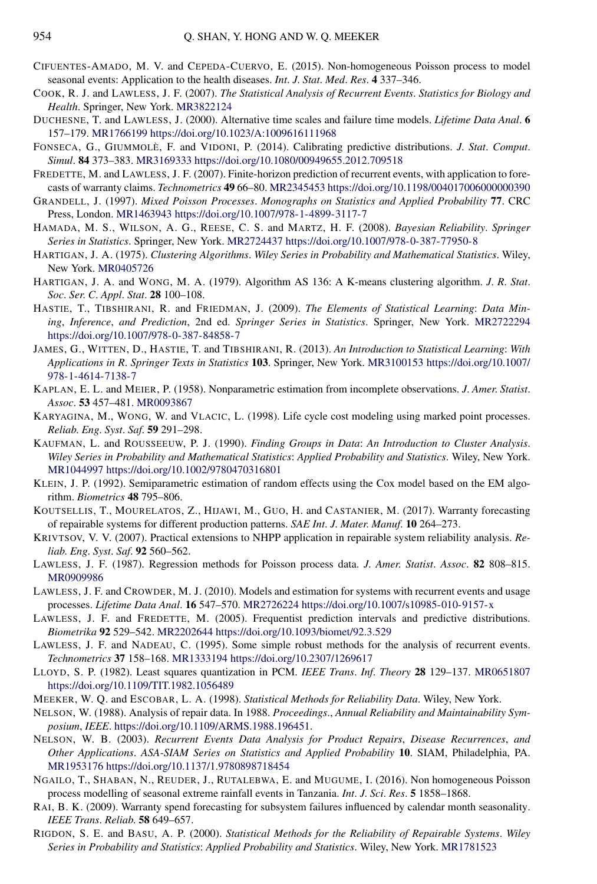- <span id="page-25-0"></span>CIFUENTES-AMADO, M. V. and CEPEDA-CUERVO, E. (2015). Non-homogeneous Poisson process to model seasonal events: Application to the health diseases. *Int*. *J*. *Stat*. *Med*. *Res*. **4** 337–346.
- COOK, R. J. and LAWLESS, J. F. (2007). *The Statistical Analysis of Recurrent Events*. *Statistics for Biology and Health*. Springer, New York. [MR3822124](http://www.ams.org/mathscinet-getitem?mr=3822124)
- DUCHESNE, T. and LAWLESS, J. (2000). Alternative time scales and failure time models. *Lifetime Data Anal*. **6** 157–179. [MR1766199](http://www.ams.org/mathscinet-getitem?mr=1766199)<https://doi.org/10.1023/A:1009616111968>
- FONSECA, G., GIUMMOLÈ, F. and VIDONI, P. (2014). Calibrating predictive distributions. *J*. *Stat*. *Comput*. *Simul*. **84** 373–383. [MR3169333](http://www.ams.org/mathscinet-getitem?mr=3169333)<https://doi.org/10.1080/00949655.2012.709518>
- FREDETTE, M. and LAWLESS, J. F. (2007). Finite-horizon prediction of recurrent events, with application to forecasts of warranty claims. *Technometrics* **49** 66–80. [MR2345453](http://www.ams.org/mathscinet-getitem?mr=2345453)<https://doi.org/10.1198/004017006000000390>
- GRANDELL, J. (1997). *Mixed Poisson Processes*. *Monographs on Statistics and Applied Probability* **77**. CRC Press, London. [MR1463943](http://www.ams.org/mathscinet-getitem?mr=1463943)<https://doi.org/10.1007/978-1-4899-3117-7>
- HAMADA, M. S., WILSON, A. G., REESE, C. S. and MARTZ, H. F. (2008). *Bayesian Reliability*. *Springer Series in Statistics*. Springer, New York. [MR2724437](http://www.ams.org/mathscinet-getitem?mr=2724437)<https://doi.org/10.1007/978-0-387-77950-8>
- HARTIGAN, J. A. (1975). *Clustering Algorithms*. *Wiley Series in Probability and Mathematical Statistics*. Wiley, New York. [MR0405726](http://www.ams.org/mathscinet-getitem?mr=0405726)
- HARTIGAN, J. A. and WONG, M. A. (1979). Algorithm AS 136: A K-means clustering algorithm. *J*. *R*. *Stat*. *Soc*. *Ser*. *C*. *Appl*. *Stat*. **28** 100–108.
- HASTIE, T., TIBSHIRANI, R. and FRIEDMAN, J. (2009). *The Elements of Statistical Learning*: *Data Mining*, *Inference*, *and Prediction*, 2nd ed. *Springer Series in Statistics*. Springer, New York. [MR2722294](http://www.ams.org/mathscinet-getitem?mr=2722294) <https://doi.org/10.1007/978-0-387-84858-7>
- JAMES, G., WITTEN, D., HASTIE, T. and TIBSHIRANI, R. (2013). *An Introduction to Statistical Learning*: *With Applications in R*. *Springer Texts in Statistics* **103**. Springer, New York. [MR3100153](http://www.ams.org/mathscinet-getitem?mr=3100153) [https://doi.org/10.1007/](https://doi.org/10.1007/978-1-4614-7138-7) [978-1-4614-7138-7](https://doi.org/10.1007/978-1-4614-7138-7)
- KAPLAN, E. L. and MEIER, P. (1958). Nonparametric estimation from incomplete observations. *J*. *Amer*. *Statist*. *Assoc*. **53** 457–481. [MR0093867](http://www.ams.org/mathscinet-getitem?mr=0093867)
- KARYAGINA, M., WONG, W. and VLACIC, L. (1998). Life cycle cost modeling using marked point processes. *Reliab*. *Eng*. *Syst*. *Saf*. **59** 291–298.
- KAUFMAN, L. and ROUSSEEUW, P. J. (1990). *Finding Groups in Data*: *An Introduction to Cluster Analysis*. *Wiley Series in Probability and Mathematical Statistics*: *Applied Probability and Statistics*. Wiley, New York. [MR1044997](http://www.ams.org/mathscinet-getitem?mr=1044997)<https://doi.org/10.1002/9780470316801>
- KLEIN, J. P. (1992). Semiparametric estimation of random effects using the Cox model based on the EM algorithm. *Biometrics* **48** 795–806.
- KOUTSELLIS, T., MOURELATOS, Z., HIJAWI, M., GUO, H. and CASTANIER, M. (2017). Warranty forecasting of repairable systems for different production patterns. *SAE Int*. *J*. *Mater*. *Manuf*. **10** 264–273.
- KRIVTSOV, V. V. (2007). Practical extensions to NHPP application in repairable system reliability analysis. *Reliab*. *Eng*. *Syst*. *Saf*. **92** 560–562.
- LAWLESS, J. F. (1987). Regression methods for Poisson process data. *J*. *Amer*. *Statist*. *Assoc*. **82** 808–815. [MR0909986](http://www.ams.org/mathscinet-getitem?mr=0909986)
- LAWLESS, J. F. and CROWDER, M. J. (2010). Models and estimation for systems with recurrent events and usage processes. *Lifetime Data Anal*. **16** 547–570. [MR2726224](http://www.ams.org/mathscinet-getitem?mr=2726224)<https://doi.org/10.1007/s10985-010-9157-x>
- LAWLESS, J. F. and FREDETTE, M. (2005). Frequentist prediction intervals and predictive distributions. *Biometrika* **92** 529–542. [MR2202644](http://www.ams.org/mathscinet-getitem?mr=2202644)<https://doi.org/10.1093/biomet/92.3.529>
- LAWLESS, J. F. and NADEAU, C. (1995). Some simple robust methods for the analysis of recurrent events. *Technometrics* **37** 158–168. [MR1333194](http://www.ams.org/mathscinet-getitem?mr=1333194)<https://doi.org/10.2307/1269617>
- LLOYD, S. P. (1982). Least squares quantization in PCM. *IEEE Trans*. *Inf*. *Theory* **28** 129–137. [MR0651807](http://www.ams.org/mathscinet-getitem?mr=0651807) <https://doi.org/10.1109/TIT.1982.1056489>
- MEEKER, W. Q. and ESCOBAR, L. A. (1998). *Statistical Methods for Reliability Data*. Wiley, New York.
- NELSON, W. (1988). Analysis of repair data. In 1988. *Proceedings*., *Annual Reliability and Maintainability Symposium*, *IEEE*. <https://doi.org/10.1109/ARMS.1988.196451>.
- NELSON, W. B. (2003). *Recurrent Events Data Analysis for Product Repairs*, *Disease Recurrences*, *and Other Applications*. *ASA-SIAM Series on Statistics and Applied Probability* **10**. SIAM, Philadelphia, PA. [MR1953176](http://www.ams.org/mathscinet-getitem?mr=1953176)<https://doi.org/10.1137/1.9780898718454>
- NGAILO, T., SHABAN, N., REUDER, J., RUTALEBWA, E. and MUGUME, I. (2016). Non homogeneous Poisson process modelling of seasonal extreme rainfall events in Tanzania. *Int*. *J*. *Sci*. *Res*. **5** 1858–1868.
- RAI, B. K. (2009). Warranty spend forecasting for subsystem failures influenced by calendar month seasonality. *IEEE Trans*. *Reliab*. **58** 649–657.
- RIGDON, S. E. and BASU, A. P. (2000). *Statistical Methods for the Reliability of Repairable Systems*. *Wiley Series in Probability and Statistics*: *Applied Probability and Statistics*. Wiley, New York. [MR1781523](http://www.ams.org/mathscinet-getitem?mr=1781523)